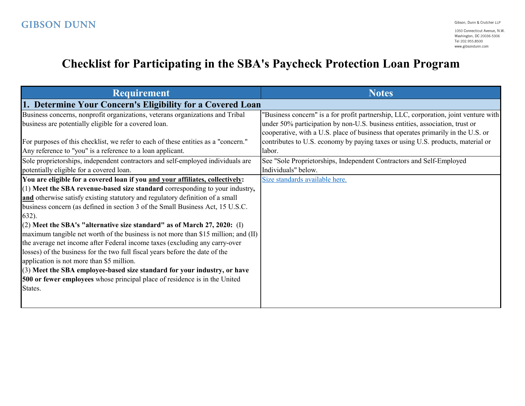## **Checklist for Participating in the SBA's Paycheck Protection Loan Program**

| <b>Requirement</b>                                                                 | <b>Notes</b>                                                                         |
|------------------------------------------------------------------------------------|--------------------------------------------------------------------------------------|
| 1. Determine Your Concern's Eligibility for a Covered Loan                         |                                                                                      |
| Business concerns, nonprofit organizations, veterans organizations and Tribal      | "Business concern" is a for profit partnership, LLC, corporation, joint venture with |
| business are potentially eligible for a covered loan.                              | under 50% participation by non-U.S. business entities, association, trust or         |
|                                                                                    | cooperative, with a U.S. place of business that operates primarily in the U.S. or    |
| For purposes of this checklist, we refer to each of these entities as a "concern." | contributes to U.S. economy by paying taxes or using U.S. products, material or      |
| Any reference to "you" is a reference to a loan applicant.                         | labor.                                                                               |
| Sole proprietorships, independent contractors and self-employed individuals are    | See "Sole Proprietorships, Independent Contractors and Self-Employed                 |
| potentially eligible for a covered loan.                                           | Individuals" below.                                                                  |
| You are eligible for a covered loan if you and your affiliates, collectively:      | Size standards available here.                                                       |
| (1) Meet the SBA revenue-based size standard corresponding to your industry,       |                                                                                      |
| and otherwise satisfy existing statutory and regulatory definition of a small      |                                                                                      |
| business concern (as defined in section 3 of the Small Business Act, 15 U.S.C.     |                                                                                      |
| $632$ ).                                                                           |                                                                                      |
| $(2)$ Meet the SBA's "alternative size standard" as of March 27, 2020: (I)         |                                                                                      |
| maximum tangible net worth of the business is not more than \$15 million; and (II) |                                                                                      |
| the average net income after Federal income taxes (excluding any carry-over        |                                                                                      |
| losses) of the business for the two full fiscal years before the date of the       |                                                                                      |
| application is not more than \$5 million.                                          |                                                                                      |
| (3) Meet the SBA employee-based size standard for your industry, or have           |                                                                                      |
| 500 or fewer employees whose principal place of residence is in the United         |                                                                                      |
| States.                                                                            |                                                                                      |
|                                                                                    |                                                                                      |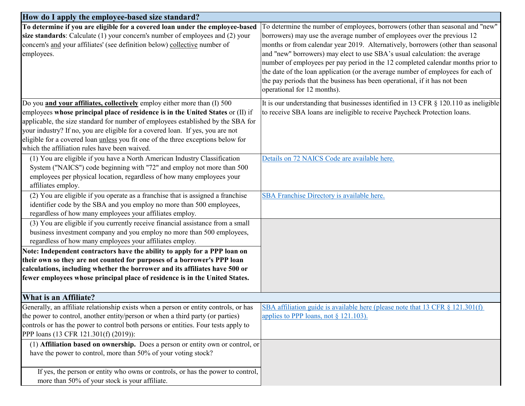| How do I apply the employee-based size standard?                                                                                                                                                                                                                                                                                                                                                                                                                       |                                                                                                                                                                                                                                                                                                                                                                                                                                                                                                                                                                                                                 |
|------------------------------------------------------------------------------------------------------------------------------------------------------------------------------------------------------------------------------------------------------------------------------------------------------------------------------------------------------------------------------------------------------------------------------------------------------------------------|-----------------------------------------------------------------------------------------------------------------------------------------------------------------------------------------------------------------------------------------------------------------------------------------------------------------------------------------------------------------------------------------------------------------------------------------------------------------------------------------------------------------------------------------------------------------------------------------------------------------|
| To determine if you are eligible for a covered loan under the employee-based<br>size standards: Calculate (1) your concern's number of employees and (2) your<br>concern's and your affiliates' (see definition below) collective number of<br>employees.                                                                                                                                                                                                              | To determine the number of employees, borrowers (other than seasonal and "new"<br>borrowers) may use the average number of employees over the previous 12<br>months or from calendar year 2019. Alternatively, borrowers (other than seasonal<br>and "new" borrowers) may elect to use SBA's usual calculation: the average<br>number of employees per pay period in the 12 completed calendar months prior to<br>the date of the loan application (or the average number of employees for each of<br>the pay periods that the business has been operational, if it has not been<br>operational for 12 months). |
| Do you and your affiliates, collectively employ either more than (I) 500<br>employees whose principal place of residence is in the United States or (II) if<br>applicable, the size standard for number of employees established by the SBA for<br>your industry? If no, you are eligible for a covered loan. If yes, you are not<br>eligible for a covered loan unless you fit one of the three exceptions below for<br>which the affiliation rules have been waived. | It is our understanding that businesses identified in 13 CFR § 120.110 as ineligible<br>to receive SBA loans are ineligible to receive Paycheck Protection loans.                                                                                                                                                                                                                                                                                                                                                                                                                                               |
| (1) You are eligible if you have a North American Industry Classification<br>System ("NAICS") code beginning with "72" and employ not more than 500<br>employees per physical location, regardless of how many employees your<br>affiliates employ.                                                                                                                                                                                                                    | Details on 72 NAICS Code are available here.                                                                                                                                                                                                                                                                                                                                                                                                                                                                                                                                                                    |
| (2) You are eligible if you operate as a franchise that is assigned a franchise<br>identifier code by the SBA and you employ no more than 500 employees,<br>regardless of how many employees your affiliates employ.                                                                                                                                                                                                                                                   | SBA Franchise Directory is available here.                                                                                                                                                                                                                                                                                                                                                                                                                                                                                                                                                                      |
| (3) You are eligible if you currently receive financial assistance from a small<br>business investment company and you employ no more than 500 employees,<br>regardless of how many employees your affiliates employ.                                                                                                                                                                                                                                                  |                                                                                                                                                                                                                                                                                                                                                                                                                                                                                                                                                                                                                 |
| Note: Independent contractors have the ability to apply for a PPP loan on<br>their own so they are not counted for purposes of a borrower's PPP loan<br>calculations, including whether the borrower and its affiliates have 500 or<br>fewer employees whose principal place of residence is in the United States.                                                                                                                                                     |                                                                                                                                                                                                                                                                                                                                                                                                                                                                                                                                                                                                                 |
| What is an Affiliate?                                                                                                                                                                                                                                                                                                                                                                                                                                                  |                                                                                                                                                                                                                                                                                                                                                                                                                                                                                                                                                                                                                 |
| Generally, an affiliate relationship exists when a person or entity controls, or has<br>the power to control, another entity/person or when a third party (or parties)<br>controls or has the power to control both persons or entities. Four tests apply to<br>PPP loans (13 CFR 121.301(f) (2019)):                                                                                                                                                                  | SBA affiliation guide is available here (please note that $13$ CFR $\S$ $121.301(f)$ )<br>applies to PPP loans, not § 121.103).                                                                                                                                                                                                                                                                                                                                                                                                                                                                                 |
| (1) Affiliation based on ownership. Does a person or entity own or control, or<br>have the power to control, more than 50% of your voting stock?                                                                                                                                                                                                                                                                                                                       |                                                                                                                                                                                                                                                                                                                                                                                                                                                                                                                                                                                                                 |
| If yes, the person or entity who owns or controls, or has the power to control,<br>more than 50% of your stock is your affiliate.                                                                                                                                                                                                                                                                                                                                      |                                                                                                                                                                                                                                                                                                                                                                                                                                                                                                                                                                                                                 |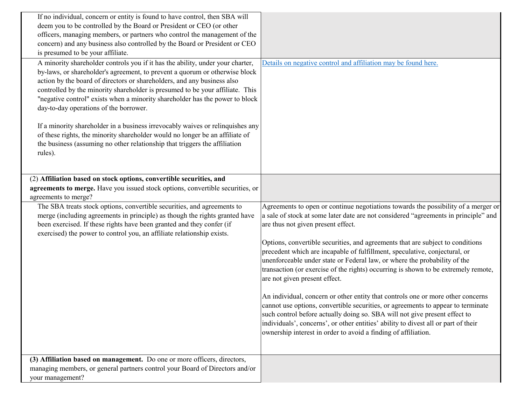| If no individual, concern or entity is found to have control, then SBA will<br>deem you to be controlled by the Board or President or CEO (or other                                                                                                                                                                                                                                                                                                                                                                                                                                                                                                                                                            |                                                                                                                                                                                                                                                                                                                                                                                                                                                                                                                                                                                                                                                                                                                                                                                                                                                                                                                                                                                                  |
|----------------------------------------------------------------------------------------------------------------------------------------------------------------------------------------------------------------------------------------------------------------------------------------------------------------------------------------------------------------------------------------------------------------------------------------------------------------------------------------------------------------------------------------------------------------------------------------------------------------------------------------------------------------------------------------------------------------|--------------------------------------------------------------------------------------------------------------------------------------------------------------------------------------------------------------------------------------------------------------------------------------------------------------------------------------------------------------------------------------------------------------------------------------------------------------------------------------------------------------------------------------------------------------------------------------------------------------------------------------------------------------------------------------------------------------------------------------------------------------------------------------------------------------------------------------------------------------------------------------------------------------------------------------------------------------------------------------------------|
| officers, managing members, or partners who control the management of the<br>concern) and any business also controlled by the Board or President or CEO<br>is presumed to be your affiliate.                                                                                                                                                                                                                                                                                                                                                                                                                                                                                                                   |                                                                                                                                                                                                                                                                                                                                                                                                                                                                                                                                                                                                                                                                                                                                                                                                                                                                                                                                                                                                  |
| A minority shareholder controls you if it has the ability, under your charter,<br>by-laws, or shareholder's agreement, to prevent a quorum or otherwise block<br>action by the board of directors or shareholders, and any business also<br>controlled by the minority shareholder is presumed to be your affiliate. This<br>"negative control" exists when a minority shareholder has the power to block<br>day-to-day operations of the borrower.<br>If a minority shareholder in a business irrevocably waives or relinquishes any<br>of these rights, the minority shareholder would no longer be an affiliate of<br>the business (assuming no other relationship that triggers the affiliation<br>rules). | Details on negative control and affiliation may be found here.                                                                                                                                                                                                                                                                                                                                                                                                                                                                                                                                                                                                                                                                                                                                                                                                                                                                                                                                   |
| (2) Affiliation based on stock options, convertible securities, and<br>agreements to merge. Have you issued stock options, convertible securities, or<br>agreements to merge?                                                                                                                                                                                                                                                                                                                                                                                                                                                                                                                                  |                                                                                                                                                                                                                                                                                                                                                                                                                                                                                                                                                                                                                                                                                                                                                                                                                                                                                                                                                                                                  |
| The SBA treats stock options, convertible securities, and agreements to<br>merge (including agreements in principle) as though the rights granted have<br>been exercised. If these rights have been granted and they confer (if<br>exercised) the power to control you, an affiliate relationship exists.                                                                                                                                                                                                                                                                                                                                                                                                      | Agreements to open or continue negotiations towards the possibility of a merger or<br>a sale of stock at some later date are not considered "agreements in principle" and<br>are thus not given present effect.<br>Options, convertible securities, and agreements that are subject to conditions<br>precedent which are incapable of fulfillment, speculative, conjectural, or<br>unenforceable under state or Federal law, or where the probability of the<br>transaction (or exercise of the rights) occurring is shown to be extremely remote,<br>are not given present effect.<br>An individual, concern or other entity that controls one or more other concerns<br>cannot use options, convertible securities, or agreements to appear to terminate<br>such control before actually doing so. SBA will not give present effect to<br>individuals', concerns', or other entities' ability to divest all or part of their<br>ownership interest in order to avoid a finding of affiliation. |
| (3) Affiliation based on management. Do one or more officers, directors,<br>managing members, or general partners control your Board of Directors and/or<br>your management?                                                                                                                                                                                                                                                                                                                                                                                                                                                                                                                                   |                                                                                                                                                                                                                                                                                                                                                                                                                                                                                                                                                                                                                                                                                                                                                                                                                                                                                                                                                                                                  |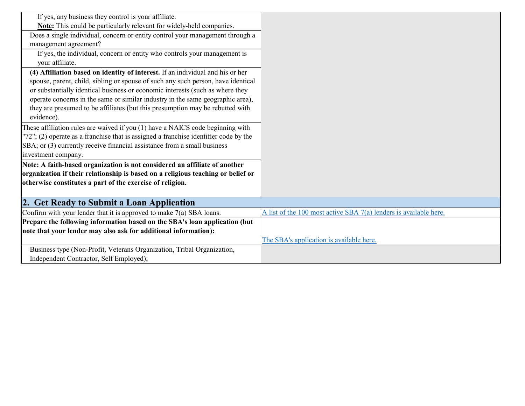| If yes, any business they control is your affiliate.                                    |                                                                   |
|-----------------------------------------------------------------------------------------|-------------------------------------------------------------------|
| Note: This could be particularly relevant for widely-held companies.                    |                                                                   |
| Does a single individual, concern or entity control your management through a           |                                                                   |
| management agreement?                                                                   |                                                                   |
| If yes, the individual, concern or entity who controls your management is               |                                                                   |
| your affiliate.                                                                         |                                                                   |
| (4) Affiliation based on identity of interest. If an individual and his or her          |                                                                   |
| spouse, parent, child, sibling or spouse of such any such person, have identical        |                                                                   |
| or substantially identical business or economic interests (such as where they           |                                                                   |
| operate concerns in the same or similar industry in the same geographic area),          |                                                                   |
| they are presumed to be affiliates (but this presumption may be rebutted with           |                                                                   |
| evidence).                                                                              |                                                                   |
| These affiliation rules are waived if you (1) have a NAICS code beginning with          |                                                                   |
| $"72"$ ; (2) operate as a franchise that is assigned a franchise identifier code by the |                                                                   |
| SBA; or (3) currently receive financial assistance from a small business                |                                                                   |
| investment company.                                                                     |                                                                   |
| Note: A faith-based organization is not considered an affiliate of another              |                                                                   |
| organization if their relationship is based on a religious teaching or belief or        |                                                                   |
| otherwise constitutes a part of the exercise of religion.                               |                                                                   |
|                                                                                         |                                                                   |
| 2. Get Ready to Submit a Loan Application                                               |                                                                   |
| Confirm with your lender that it is approved to make $7(a)$ SBA loans.                  | A list of the 100 most active SBA 7(a) lenders is available here. |
| Prepare the following information based on the SBA's loan application (but              |                                                                   |
| note that your lender may also ask for additional information):                         |                                                                   |
|                                                                                         | The SBA's application is available here.                          |
| Business type (Non-Profit, Veterans Organization, Tribal Organization,                  |                                                                   |
| Independent Contractor, Self Employed);                                                 |                                                                   |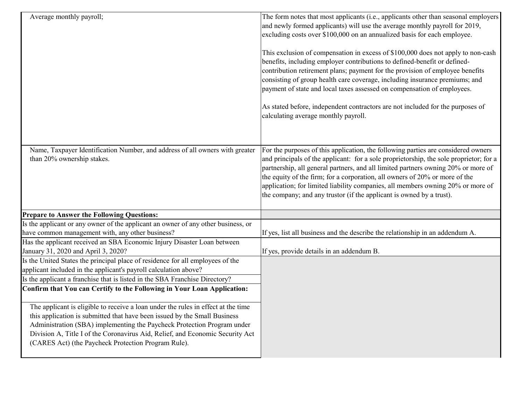| Average monthly payroll;                                                                                                                                                                                                                                                                                                                                                                                                                                     | The form notes that most applicants (i.e., applicants other than seasonal employers<br>and newly formed applicants) will use the average monthly payroll for 2019,<br>excluding costs over \$100,000 on an annualized basis for each employee.<br>This exclusion of compensation in excess of \$100,000 does not apply to non-cash<br>benefits, including employer contributions to defined-benefit or defined-<br>contribution retirement plans; payment for the provision of employee benefits<br>consisting of group health care coverage, including insurance premiums; and<br>payment of state and local taxes assessed on compensation of employees.<br>As stated before, independent contractors are not included for the purposes of<br>calculating average monthly payroll. |
|--------------------------------------------------------------------------------------------------------------------------------------------------------------------------------------------------------------------------------------------------------------------------------------------------------------------------------------------------------------------------------------------------------------------------------------------------------------|--------------------------------------------------------------------------------------------------------------------------------------------------------------------------------------------------------------------------------------------------------------------------------------------------------------------------------------------------------------------------------------------------------------------------------------------------------------------------------------------------------------------------------------------------------------------------------------------------------------------------------------------------------------------------------------------------------------------------------------------------------------------------------------|
| Name, Taxpayer Identification Number, and address of all owners with greater<br>than 20% ownership stakes.                                                                                                                                                                                                                                                                                                                                                   | For the purposes of this application, the following parties are considered owners<br>and principals of the applicant: for a sole proprietorship, the sole proprietor; for a<br>partnership, all general partners, and all limited partners owning 20% or more of<br>the equity of the firm; for a corporation, all owners of 20% or more of the<br>application; for limited liability companies, all members owning 20% or more of<br>the company; and any trustor (if the applicant is owned by a trust).                                                                                                                                                                                                                                                                           |
| <b>Prepare to Answer the Following Questions:</b>                                                                                                                                                                                                                                                                                                                                                                                                            |                                                                                                                                                                                                                                                                                                                                                                                                                                                                                                                                                                                                                                                                                                                                                                                      |
| Is the applicant or any owner of the applicant an owner of any other business, or                                                                                                                                                                                                                                                                                                                                                                            |                                                                                                                                                                                                                                                                                                                                                                                                                                                                                                                                                                                                                                                                                                                                                                                      |
| have common management with, any other business?                                                                                                                                                                                                                                                                                                                                                                                                             | If yes, list all business and the describe the relationship in an addendum A.                                                                                                                                                                                                                                                                                                                                                                                                                                                                                                                                                                                                                                                                                                        |
| Has the applicant received an SBA Economic Injury Disaster Loan between<br>January 31, 2020 and April 3, 2020?                                                                                                                                                                                                                                                                                                                                               | If yes, provide details in an addendum B.                                                                                                                                                                                                                                                                                                                                                                                                                                                                                                                                                                                                                                                                                                                                            |
| Is the United States the principal place of residence for all employees of the<br>applicant included in the applicant's payroll calculation above?<br>Is the applicant a franchise that is listed in the SBA Franchise Directory?                                                                                                                                                                                                                            |                                                                                                                                                                                                                                                                                                                                                                                                                                                                                                                                                                                                                                                                                                                                                                                      |
| Confirm that You can Certify to the Following in Your Loan Application:<br>The applicant is eligible to receive a loan under the rules in effect at the time<br>this application is submitted that have been issued by the Small Business<br>Administration (SBA) implementing the Paycheck Protection Program under<br>Division A, Title I of the Coronavirus Aid, Relief, and Economic Security Act<br>(CARES Act) (the Paycheck Protection Program Rule). |                                                                                                                                                                                                                                                                                                                                                                                                                                                                                                                                                                                                                                                                                                                                                                                      |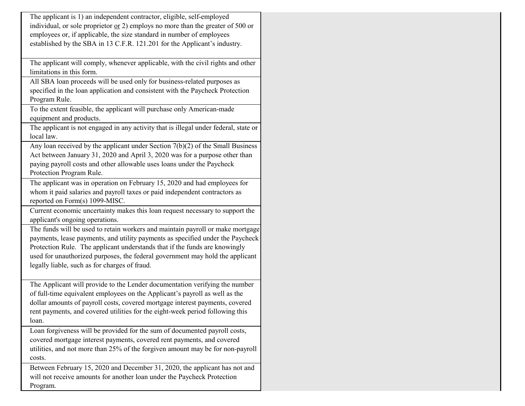| The applicant is 1) an independent contractor, eligible, self-employed             |
|------------------------------------------------------------------------------------|
| individual, or sole proprietor $or 2$ ) employs no more than the greater of 500 or |
| employees or, if applicable, the size standard in number of employees              |
| established by the SBA in 13 C.F.R. 121.201 for the Applicant's industry.          |
|                                                                                    |

The applicant will comply, whenever applicable, with the civil rights and other limitations in this form.

All SBA loan proceeds will be used only for business-related purposes as specified in the loan application and consistent with the Paycheck Protection Program Rule.

To the extent feasible, the applicant will purchase only American-made equipment and products.

The applicant is not engaged in any activity that is illegal under federal, state or local law.

Any loan received by the applicant under Section 7(b)(2) of the Small Business Act between January 31, 2020 and April 3, 2020 was for a purpose other than paying payroll costs and other allowable uses loans under the Paycheck Protection Program Rule.

The applicant was in operation on February 15, 2020 and had employees for whom it paid salaries and payroll taxes or paid independent contractors as reported on Form(s) 1099-MISC.

Current economic uncertainty makes this loan request necessary to support the applicant's ongoing operations.

The funds will be used to retain workers and maintain payroll or make mortgage payments, lease payments, and utility payments as specified under the Paycheck Protection Rule. The applicant understands that if the funds are knowingly used for unauthorized purposes, the federal government may hold the applicant legally liable, such as for charges of fraud.

The Applicant will provide to the Lender documentation verifying the number of full-time equivalent employees on the Applicant's payroll as well as the dollar amounts of payroll costs, covered mortgage interest payments, covered rent payments, and covered utilities for the eight-week period following this loan.

Loan forgiveness will be provided for the sum of documented payroll costs, covered mortgage interest payments, covered rent payments, and covered utilities, and not more than 25% of the forgiven amount may be for non-payroll costs.

Between February 15, 2020 and December 31, 2020, the applicant has not and will not receive amounts for another loan under the Paycheck Protection Program.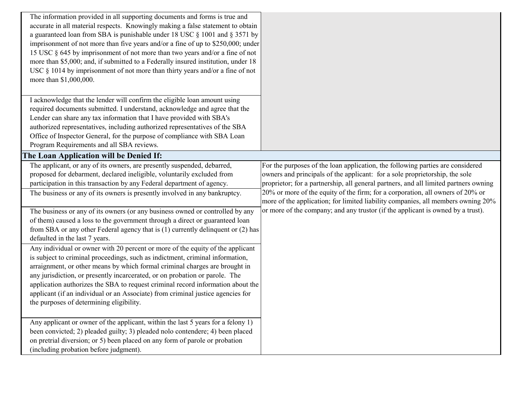| The information provided in all supporting documents and forms is true and<br>accurate in all material respects. Knowingly making a false statement to obtain<br>a guaranteed loan from SBA is punishable under 18 USC § 1001 and § 3571 by<br>imprisonment of not more than five years and/or a fine of up to \$250,000; under<br>15 USC § 645 by imprisonment of not more than two years and/or a fine of not<br>more than \$5,000; and, if submitted to a Federally insured institution, under 18<br>USC $\S$ 1014 by imprisonment of not more than thirty years and/or a fine of not<br>more than \$1,000,000. |                                                                                                                                                                    |
|--------------------------------------------------------------------------------------------------------------------------------------------------------------------------------------------------------------------------------------------------------------------------------------------------------------------------------------------------------------------------------------------------------------------------------------------------------------------------------------------------------------------------------------------------------------------------------------------------------------------|--------------------------------------------------------------------------------------------------------------------------------------------------------------------|
| I acknowledge that the lender will confirm the eligible loan amount using<br>required documents submitted. I understand, acknowledge and agree that the                                                                                                                                                                                                                                                                                                                                                                                                                                                            |                                                                                                                                                                    |
| Lender can share any tax information that I have provided with SBA's                                                                                                                                                                                                                                                                                                                                                                                                                                                                                                                                               |                                                                                                                                                                    |
| authorized representatives, including authorized representatives of the SBA                                                                                                                                                                                                                                                                                                                                                                                                                                                                                                                                        |                                                                                                                                                                    |
| Office of Inspector General, for the purpose of compliance with SBA Loan                                                                                                                                                                                                                                                                                                                                                                                                                                                                                                                                           |                                                                                                                                                                    |
| Program Requirements and all SBA reviews.                                                                                                                                                                                                                                                                                                                                                                                                                                                                                                                                                                          |                                                                                                                                                                    |
| The Loan Application will be Denied If:                                                                                                                                                                                                                                                                                                                                                                                                                                                                                                                                                                            | For the purposes of the loan application, the following parties are considered                                                                                     |
| The applicant, or any of its owners, are presently suspended, debarred,<br>proposed for debarment, declared ineligible, voluntarily excluded from                                                                                                                                                                                                                                                                                                                                                                                                                                                                  | owners and principals of the applicant: for a sole proprietorship, the sole                                                                                        |
| participation in this transaction by any Federal department of agency.                                                                                                                                                                                                                                                                                                                                                                                                                                                                                                                                             | proprietor; for a partnership, all general partners, and all limited partners owning                                                                               |
| The business or any of its owners is presently involved in any bankruptcy.                                                                                                                                                                                                                                                                                                                                                                                                                                                                                                                                         | 20% or more of the equity of the firm; for a corporation, all owners of 20% or<br>more of the application; for limited liability companies, all members owning 20% |
| The business or any of its owners (or any business owned or controlled by any                                                                                                                                                                                                                                                                                                                                                                                                                                                                                                                                      | or more of the company; and any trustor (if the applicant is owned by a trust).                                                                                    |
| of them) caused a loss to the government through a direct or guaranteed loan                                                                                                                                                                                                                                                                                                                                                                                                                                                                                                                                       |                                                                                                                                                                    |
| from SBA or any other Federal agency that is $(1)$ currently delinquent or $(2)$ has                                                                                                                                                                                                                                                                                                                                                                                                                                                                                                                               |                                                                                                                                                                    |
| defaulted in the last 7 years.                                                                                                                                                                                                                                                                                                                                                                                                                                                                                                                                                                                     |                                                                                                                                                                    |
| Any individual or owner with 20 percent or more of the equity of the applicant<br>is subject to criminal proceedings, such as indictment, criminal information,<br>arraignment, or other means by which formal criminal charges are brought in                                                                                                                                                                                                                                                                                                                                                                     |                                                                                                                                                                    |
| any jurisdiction, or presently incarcerated, or on probation or parole. The                                                                                                                                                                                                                                                                                                                                                                                                                                                                                                                                        |                                                                                                                                                                    |
| application authorizes the SBA to request criminal record information about the                                                                                                                                                                                                                                                                                                                                                                                                                                                                                                                                    |                                                                                                                                                                    |
| applicant (if an individual or an Associate) from criminal justice agencies for<br>the purposes of determining eligibility.                                                                                                                                                                                                                                                                                                                                                                                                                                                                                        |                                                                                                                                                                    |
|                                                                                                                                                                                                                                                                                                                                                                                                                                                                                                                                                                                                                    |                                                                                                                                                                    |
| Any applicant or owner of the applicant, within the last 5 years for a felony 1)<br>been convicted; 2) pleaded guilty; 3) pleaded nolo contendere; 4) been placed<br>on pretrial diversion; or 5) been placed on any form of parole or probation<br>(including probation before judgment).                                                                                                                                                                                                                                                                                                                         |                                                                                                                                                                    |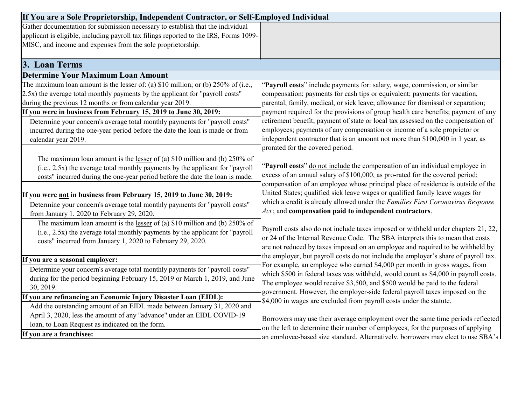| If You are a Sole Proprietorship, Independent Contractor, or Self-Employed Individual    |                                                                                     |
|------------------------------------------------------------------------------------------|-------------------------------------------------------------------------------------|
| Gather documentation for submission necessary to establish that the individual           |                                                                                     |
| applicant is eligible, including payroll tax filings reported to the IRS, Forms 1099-    |                                                                                     |
| MISC, and income and expenses from the sole proprietorship.                              |                                                                                     |
|                                                                                          |                                                                                     |
| 3. Loan Terms                                                                            |                                                                                     |
| <b>Determine Your Maximum Loan Amount</b>                                                |                                                                                     |
| The maximum loan amount is the <u>lesser</u> of: (a) \$10 million; or (b) 250% of (i.e., | "Payroll costs" include payments for: salary, wage, commission, or similar          |
| [2.5x] the average total monthly payments by the applicant for "payroll costs"           | compensation; payments for cash tips or equivalent; payments for vacation,          |
| during the previous 12 months or from calendar year 2019.                                | parental, family, medical, or sick leave; allowance for dismissal or separation;    |
| If you were in business from February 15, 2019 to June 30, 2019:                         | payment required for the provisions of group health care benefits; payment of any   |
| Determine your concern's average total monthly payments for "payroll costs"              | retirement benefit; payment of state or local tax assessed on the compensation of   |
| incurred during the one-year period before the date the loan is made or from             | employees; payments of any compensation or income of a sole proprietor or           |
| calendar year 2019.                                                                      | independent contractor that is an amount not more than \$100,000 in 1 year, as      |
|                                                                                          | prorated for the covered period.                                                    |
| The maximum loan amount is the <u>lesser</u> of (a) \$10 million and (b) 250% of         |                                                                                     |
| (i.e., 2.5x) the average total monthly payments by the applicant for "payroll"           | 'Payroll costs" do not include the compensation of an individual employee in        |
| costs" incurred during the one-year period before the date the loan is made.             | excess of an annual salary of \$100,000, as pro-rated for the covered period;       |
|                                                                                          | compensation of an employee whose principal place of residence is outside of the    |
| If you were <u>not</u> in business from February 15, 2019 to June 30, 2019:              | United States; qualified sick leave wages or qualified family leave wages for       |
| Determine your concern's average total monthly payments for "payroll costs"              | which a credit is already allowed under the Families First Coronavirus Response     |
| from January 1, 2020 to February 29, 2020.                                               | Act; and compensation paid to independent contractors.                              |
| The maximum loan amount is the <u>lesser</u> of (a) \$10 million and (b) $250\%$ of      | Payroll costs also do not include taxes imposed or withheld under chapters 21, 22,  |
| $(i.e., 2.5x)$ the average total monthly payments by the applicant for "payroll"         | or 24 of the Internal Revenue Code. The SBA interprets this to mean that costs      |
| costs" incurred from January 1, 2020 to February 29, 2020.                               | are not reduced by taxes imposed on an employee and required to be withheld by      |
|                                                                                          | the employer, but payroll costs do not include the employer's share of payroll tax. |
| If you are a seasonal employer:                                                          | For example, an employee who earned \$4,000 per month in gross wages, from          |
| Determine your concern's average total monthly payments for "payroll costs"              | which \$500 in federal taxes was withheld, would count as \$4,000 in payroll costs. |
| during for the period beginning February 15, 2019 or March 1, 2019, and June             | The employee would receive \$3,500, and \$500 would be paid to the federal          |
| 30, 2019.                                                                                | government. However, the employer-side federal payroll taxes imposed on the         |
| If you are refinancing an Economic Injury Disaster Loan (EIDL):                          | \$4,000 in wages are excluded from payroll costs under the statute.                 |
| Add the outstanding amount of an EIDL made between January 31, 2020 and                  |                                                                                     |
| April 3, 2020, less the amount of any "advance" under an EIDL COVID-19                   | Borrowers may use their average employment over the same time periods reflected     |
| loan, to Loan Request as indicated on the form.                                          | on the left to determine their number of employees, for the purposes of applying    |
| If you are a franchisee:                                                                 | an emplovee-based size standard. Alternatively, borrowers may elect to use SBA's    |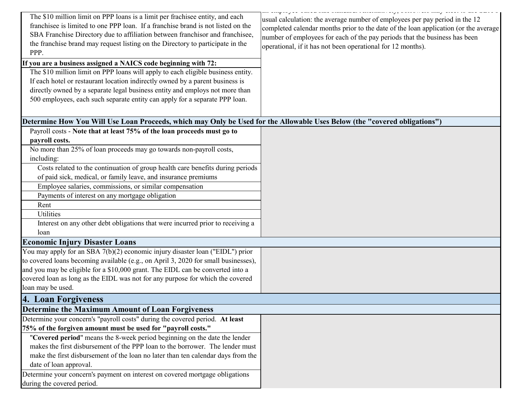| The \$10 million limit on PPP loans is a limit per frachisee entity, and each<br>franchisee is limited to one PPP loan. If a franchise brand is not listed on the<br>SBA Franchise Directory due to affiliation between franchisor and franchisee,<br>the franchise brand may request listing on the Directory to participate in the<br>PPP.<br>If you are a business assigned a NAICS code beginning with 72:<br>The \$10 million limit on PPP loans will apply to each eligible business entity.<br>If each hotel or restaurant location indirectly owned by a parent business is | CONVERSIONS WHILE AROUND EXPERIENCE T<br>usual calculation: the average number of employees per pay period in the 12<br>completed calendar months prior to the date of the loan application (or the average<br>number of employees for each of the pay periods that the business has been<br>operational, if it has not been operational for 12 months). |
|-------------------------------------------------------------------------------------------------------------------------------------------------------------------------------------------------------------------------------------------------------------------------------------------------------------------------------------------------------------------------------------------------------------------------------------------------------------------------------------------------------------------------------------------------------------------------------------|----------------------------------------------------------------------------------------------------------------------------------------------------------------------------------------------------------------------------------------------------------------------------------------------------------------------------------------------------------|
| directly owned by a separate legal business entity and employs not more than<br>500 employees, each such separate entity can apply for a separate PPP loan.                                                                                                                                                                                                                                                                                                                                                                                                                         |                                                                                                                                                                                                                                                                                                                                                          |
| Determine How You Will Use Loan Proceeds, which may Only be Used for the Allowable Uses Below (the "covered obligations")                                                                                                                                                                                                                                                                                                                                                                                                                                                           |                                                                                                                                                                                                                                                                                                                                                          |
| Payroll costs - Note that at least 75% of the loan proceeds must go to                                                                                                                                                                                                                                                                                                                                                                                                                                                                                                              |                                                                                                                                                                                                                                                                                                                                                          |
| payroll costs.                                                                                                                                                                                                                                                                                                                                                                                                                                                                                                                                                                      |                                                                                                                                                                                                                                                                                                                                                          |
| No more than 25% of loan proceeds may go towards non-payroll costs,<br>including:                                                                                                                                                                                                                                                                                                                                                                                                                                                                                                   |                                                                                                                                                                                                                                                                                                                                                          |
| Costs related to the continuation of group health care benefits during periods                                                                                                                                                                                                                                                                                                                                                                                                                                                                                                      |                                                                                                                                                                                                                                                                                                                                                          |
| of paid sick, medical, or family leave, and insurance premiums                                                                                                                                                                                                                                                                                                                                                                                                                                                                                                                      |                                                                                                                                                                                                                                                                                                                                                          |
| Employee salaries, commissions, or similar compensation                                                                                                                                                                                                                                                                                                                                                                                                                                                                                                                             |                                                                                                                                                                                                                                                                                                                                                          |
| Payments of interest on any mortgage obligation                                                                                                                                                                                                                                                                                                                                                                                                                                                                                                                                     |                                                                                                                                                                                                                                                                                                                                                          |
| Rent                                                                                                                                                                                                                                                                                                                                                                                                                                                                                                                                                                                |                                                                                                                                                                                                                                                                                                                                                          |
| Utilities                                                                                                                                                                                                                                                                                                                                                                                                                                                                                                                                                                           |                                                                                                                                                                                                                                                                                                                                                          |
| Interest on any other debt obligations that were incurred prior to receiving a<br>loan                                                                                                                                                                                                                                                                                                                                                                                                                                                                                              |                                                                                                                                                                                                                                                                                                                                                          |
| <b>Economic Injury Disaster Loans</b>                                                                                                                                                                                                                                                                                                                                                                                                                                                                                                                                               |                                                                                                                                                                                                                                                                                                                                                          |
| You may apply for an SBA 7(b)(2) economic injury disaster loan ("EIDL") prior                                                                                                                                                                                                                                                                                                                                                                                                                                                                                                       |                                                                                                                                                                                                                                                                                                                                                          |
| to covered loans becoming available (e.g., on April 3, 2020 for small businesses),                                                                                                                                                                                                                                                                                                                                                                                                                                                                                                  |                                                                                                                                                                                                                                                                                                                                                          |
| and you may be eligible for a \$10,000 grant. The EIDL can be converted into a                                                                                                                                                                                                                                                                                                                                                                                                                                                                                                      |                                                                                                                                                                                                                                                                                                                                                          |
| covered loan as long as the EIDL was not for any purpose for which the covered                                                                                                                                                                                                                                                                                                                                                                                                                                                                                                      |                                                                                                                                                                                                                                                                                                                                                          |
| loan may be used.                                                                                                                                                                                                                                                                                                                                                                                                                                                                                                                                                                   |                                                                                                                                                                                                                                                                                                                                                          |
| 4. Loan Forgiveness                                                                                                                                                                                                                                                                                                                                                                                                                                                                                                                                                                 |                                                                                                                                                                                                                                                                                                                                                          |
| <b>Determine the Maximum Amount of Loan Forgiveness</b>                                                                                                                                                                                                                                                                                                                                                                                                                                                                                                                             |                                                                                                                                                                                                                                                                                                                                                          |
| Determine your concern's "payroll costs" during the covered period. At least                                                                                                                                                                                                                                                                                                                                                                                                                                                                                                        |                                                                                                                                                                                                                                                                                                                                                          |
| 75% of the forgiven amount must be used for "payroll costs."                                                                                                                                                                                                                                                                                                                                                                                                                                                                                                                        |                                                                                                                                                                                                                                                                                                                                                          |
| "Covered period" means the 8-week period beginning on the date the lender                                                                                                                                                                                                                                                                                                                                                                                                                                                                                                           |                                                                                                                                                                                                                                                                                                                                                          |
| makes the first disbursement of the PPP loan to the borrower. The lender must                                                                                                                                                                                                                                                                                                                                                                                                                                                                                                       |                                                                                                                                                                                                                                                                                                                                                          |
| make the first disbursement of the loan no later than ten calendar days from the                                                                                                                                                                                                                                                                                                                                                                                                                                                                                                    |                                                                                                                                                                                                                                                                                                                                                          |
| date of loan approval.                                                                                                                                                                                                                                                                                                                                                                                                                                                                                                                                                              |                                                                                                                                                                                                                                                                                                                                                          |
| Determine your concern's payment on interest on covered mortgage obligations<br>during the covered period.                                                                                                                                                                                                                                                                                                                                                                                                                                                                          |                                                                                                                                                                                                                                                                                                                                                          |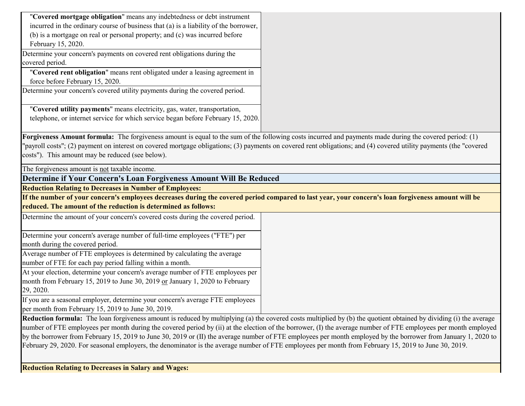| "Covered mortgage obligation" means any indebtedness or debt instrument              |  |  |
|--------------------------------------------------------------------------------------|--|--|
| incurred in the ordinary course of business that (a) is a liability of the borrower, |  |  |
| (b) is a mortgage on real or personal property; and (c) was incurred before          |  |  |
| February 15, 2020.                                                                   |  |  |

Determine your concern's payments on covered rent obligations during the covered period.

"**Covered rent obligation**" means rent obligated under a leasing agreement in force before February 15, 2020.

Determine your concern's covered utility payments during the covered period.

"**Covered utility payments**" means electricity, gas, water, transportation, telephone, or internet service for which service began before February 15, 2020.

**Forgiveness Amount formula:** The forgiveness amount is equal to the sum of the following costs incurred and payments made during the covered period: (1) "payroll costs"; (2) payment on interest on covered mortgage obligations; (3) payments on covered rent obligations; and (4) covered utility payments (the "covered costs"). This amount may be reduced (see below).

The forgiveness amount is not taxable income.

**Determine if Your Concern's Loan Forgiveness Amount Will Be Reduced**

**Reduction Relating to Decreases in Number of Employees:**

**If the number of your concern's employees decreases during the covered period compared to last year, your concern's loan forgiveness amount will be reduced. The amount of the reduction is determined as follows:** 

| Determine the amount of your concern's covered costs during the covered period. |  |
|---------------------------------------------------------------------------------|--|
| Determine your concern's average number of full-time employees ("FTE") per      |  |
| month during the covered period.                                                |  |
| Average number of FTE employees is determined by calculating the average        |  |
| number of FTE for each pay period falling within a month.                       |  |
| At your election, determine your concern's average number of FTE employees per  |  |

month from February 15, 2019 to June 30, 2019 or January 1, 2020 to February 29, 2020.

If you are a seasonal employer, determine your concern's average FTE employees per month from February 15, 2019 to June 30, 2019.

**Reduction formula:** The loan forgiveness amount is reduced by multiplying (a) the covered costs multiplied by (b) the quotient obtained by dividing (i) the average number of FTE employees per month during the covered period by (ii) at the election of the borrower, (I) the average number of FTE employees per month employed by the borrower from February 15, 2019 to June 30, 2019 or (II) the average number of FTE employees per month employed by the borrower from January 1, 2020 to February 29, 2020. For seasonal employers, the denominator is the average number of FTE employees per month from February 15, 2019 to June 30, 2019.

**Reduction Relating to Decreases in Salary and Wages:**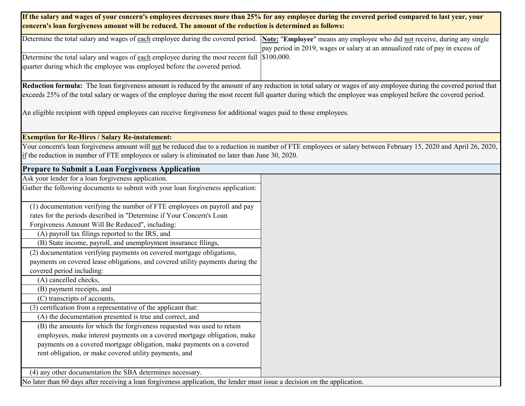### **If the salary and wages of your concern's employees decreases more than 25% for any employee during the covered period compared to last year, your concern's loan forgiveness amount will be reduced. The amount of the reduction is determined as follows:**

| Determine the total salary and wages of each employee during the covered period. Note: "Employee" means any employee who did not receive, during any single |                                                                               |
|-------------------------------------------------------------------------------------------------------------------------------------------------------------|-------------------------------------------------------------------------------|
|                                                                                                                                                             | pay period in 2019, wages or salary at an annualized rate of pay in excess of |
| Determine the total salary and wages of each employee during the most recent full $\mid$ \$100,000.                                                         |                                                                               |
| quarter during which the employee was employed before the covered period.                                                                                   |                                                                               |
|                                                                                                                                                             |                                                                               |

**Reduction formula:** The loan forgiveness amount is reduced by the amount of any reduction in total salary or wages of any employee during the covered period that exceeds 25% of the total salary or wages of the employee during the most recent full quarter during which the employee was employed before the covered period.

An eligible recipient with tipped employees can receive forgiveness for additional wages paid to those employees.

### **Exemption for Re-Hires / Salary Re-instatement:**

Your concern's loan forgiveness amount will not be reduced due to a reduction in number of FTE employees or salary between February 15, 2020 and April 26, 2020, if the reduction in number of FTE employees or salary is eliminated no later than June 30, 2020.

| <b>Prepare to Submit a Loan Forgiveness Application</b>                                                                    |  |
|----------------------------------------------------------------------------------------------------------------------------|--|
| Ask your lender for a loan forgiveness application.                                                                        |  |
| Gather the following documents to submit with your loan forgiveness application:                                           |  |
|                                                                                                                            |  |
| (1) documentation verifying the number of FTE employees on payroll and pay                                                 |  |
| rates for the periods described in "Determine if Your Concern's Loan                                                       |  |
| Forgiveness Amount Will Be Reduced", including:                                                                            |  |
| (A) payroll tax filings reported to the IRS, and                                                                           |  |
| (B) State income, payroll, and unemployment insurance filings,                                                             |  |
| (2) documentation verifying payments on covered mortgage obligations,                                                      |  |
| payments on covered lease obligations, and covered utility payments during the                                             |  |
| covered period including:                                                                                                  |  |
| (A) cancelled checks,                                                                                                      |  |
| (B) payment receipts, and                                                                                                  |  |
| (C) transcripts of accounts,                                                                                               |  |
| (3) certification from a representative of the applicant that:                                                             |  |
| (A) the documentation presented is true and correct, and                                                                   |  |
| (B) the amounts for which the forgiveness requested was used to retain                                                     |  |
| employees, make interest payments on a covered mortgage obligation, make                                                   |  |
| payments on a covered mortgage obligation, make payments on a covered                                                      |  |
| rent obligation, or make covered utility payments, and                                                                     |  |
|                                                                                                                            |  |
| (4) any other documentation the SBA determines necessary.                                                                  |  |
| No later than 60 days after receiving a loan forgiveness application, the lender must issue a decision on the application. |  |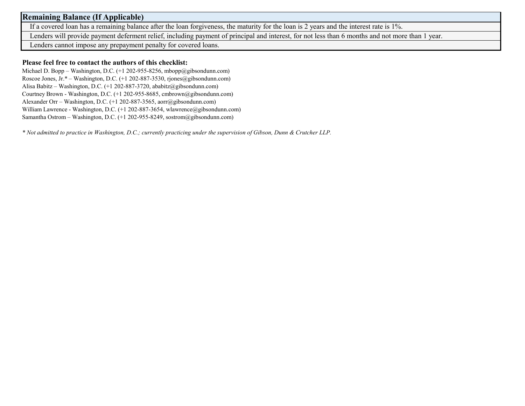### **Remaining Balance (If Applicable)**

If a covered loan has a remaining balance after the loan forgiveness, the maturity for the loan is 2 years and the interest rate is 1%.

Lenders will provide payment deferment relief, including payment of principal and interest, for not less than 6 months and not more than 1 year.

Lenders cannot impose any prepayment penalty for covered loans.

### **Please feel free to contact the authors of this checklist:**

Michael D. Bopp – Washington, D.C. (+1 202-955-8256, mbopp@gibsondunn.com) Roscoe Jones, Jr.\* – Washington, D.C. (+1 202-887-3530, rjones@gibsondunn.com) Alisa Babitz – Washington, D.C. (+1 202-887-3720, ababitz@gibsondunn.com) Courtney Brown - Washington, D.C. (+1 202-955-8685, cmbrown@gibsondunn.com) Alexander Orr – Washington, D.C. (+1 202-887-3565, aorr@gibsondunn.com) William Lawrence - Washington, D.C. (+1 202-887-3654, wlawrence@gibsondunn.com) Samantha Ostrom – Washington, D.C. (+1 202-955-8249, sostrom@gibsondunn.com)

*\* Not admitted to practice in Washington, D.C.; currently practicing under the supervision of Gibson, Dunn & Crutcher LLP.*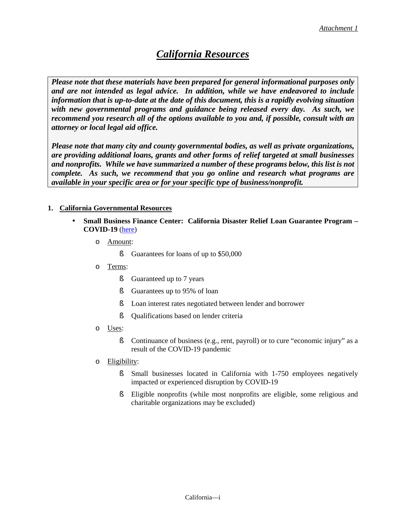## *California Resources*

*Please note that these materials have been prepared for general informational purposes only and are not intended as legal advice. In addition, while we have endeavored to include information that is up-to-date at the date of this document, this is a rapidly evolving situation with new governmental programs and guidance being released every day. As such, we recommend you research all of the options available to you and, if possible, consult with an attorney or local legal aid office.* 

*Please note that many city and county governmental bodies, as well as private organizations, are providing additional loans, grants and other forms of relief targeted at small businesses and nonprofits. While we have summarized a number of these programs below, this list is not complete. As such, we recommend that you go online and research what programs are available in your specific area or for your specific type of business/nonprofit.*

### **1. California Governmental Resources**

- **Small Business Finance Center: California Disaster Relief Loan Guarantee Program – COVID-19** [\(here\)](https://www.ibank.ca.gov/small-business-finance-center/)
	- o Amount:
		- **§** Guarantees for loans of up to \$50,000
	- o Terms:
		- **§** Guaranteed up to 7 years
		- **§** Guarantees up to 95% of loan
		- § Loan interest rates negotiated between lender and borrower
		- § Qualifications based on lender criteria
	- o Uses:
		- § Continuance of business (e.g., rent, payroll) or to cure "economic injury" as a result of the COVID-19 pandemic
	- o Eligibility:
		- § Small businesses located in California with 1-750 employees negatively impacted or experienced disruption by COVID-19
		- § Eligible nonprofits (while most nonprofits are eligible, some religious and charitable organizations may be excluded)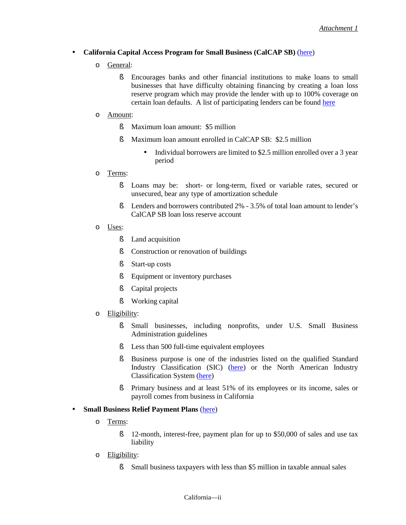#### **California Capital Access Program for Small Business (CalCAP SB)** [\(here\)](https://www.treasurer.ca.gov/cpcfa/calcap/sb/brochure.pdf) l,

- o General:
	- § Encourages banks and other financial institutions to make loans to small businesses that have difficulty obtaining financing by creating a loan loss reserve program which may provide the lender with up to 100% coverage on certain loan defaults. A list of participating lenders can be found [here](https://www.treasurer.ca.gov/cpcfa/calcap/sb/institutions.pdf)
- o Amount:
	- § Maximum loan amount: \$5 million
	- § Maximum loan amount enrolled in CalCAP SB: \$2.5 million
		- Individual borrowers are limited to \$2.5 million enrolled over a 3 year period
- o Terms:
	- § Loans may be: short- or long-term, fixed or variable rates, secured or unsecured, bear any type of amortization schedule
	- § Lenders and borrowers contributed 2% 3.5% of total loan amount to lender's CalCAP SB loan loss reserve account
- o Uses:
	- **§** Land acquisition
	- **§** Construction or renovation of buildings
	- § Start-up costs
	- **§** Equipment or inventory purchases
	- **§** Capital projects
	- § Working capital
- o Eligibility:
	- § Small businesses, including nonprofits, under U.S. Small Business Administration guidelines
	- S Less than 500 full-time equivalent employees
	- § Business purpose is one of the industries listed on the qualified Standard Industry Classification (SIC) [\(here\)](https://www.osha.gov/pls/imis/sicsearch.html) or the North American Industry Classification System [\(here\)](https://www.census.gov/eos/www/naics/)
	- § Primary business and at least 51% of its employees or its income, sales or payroll comes from business in California

#### l, **Small Business Relief Payment Plans** [\(here\)](https://www.cdtfa.ca.gov/services/covid19.htm)

- o Terms:
	- **§** 12-month, interest-free, payment plan for up to \$50,000 of sales and use tax liability
- o Eligibility:
	- § Small business taxpayers with less than \$5 million in taxable annual sales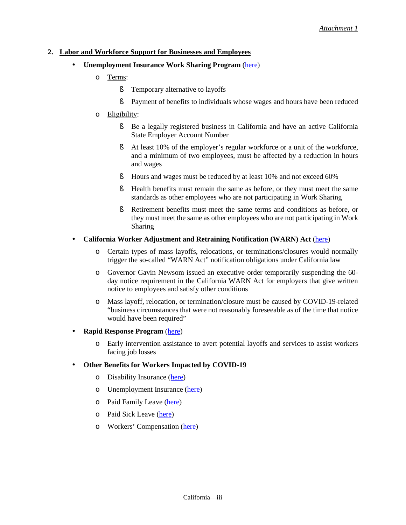#### **2. Labor and Workforce Support for Businesses and Employees**

- **Unemployment Insurance Work Sharing Program** [\(here\)](https://www.edd.ca.gov/Unemployment/Work_Sharing_Program.htm)
	- o Terms:
		- **§** Temporary alternative to layoffs
		- § Payment of benefits to individuals whose wages and hours have been reduced
	- o Eligibility:
		- § Be a legally registered business in California and have an active California State Employer Account Number
		- § At least 10% of the employer's regular workforce or a unit of the workforce, and a minimum of two employees, must be affected by a reduction in hours and wages
		- § Hours and wages must be reduced by at least 10% and not exceed 60%
		- § Health benefits must remain the same as before, or they must meet the same standards as other employees who are not participating in Work Sharing
		- § Retirement benefits must meet the same terms and conditions as before, or they must meet the same as other employees who are not participating in Work Sharing
- **California Worker Adjustment and Retraining Notification (WARN) Act** [\(here\)](https://www.dir.ca.gov/dlse/WARN-FAQs.html) l,
	- o Certain types of mass layoffs, relocations, or terminations/closures would normally trigger the so-called "WARN Act" notification obligations under California law
	- o Governor Gavin Newsom issued an executive order temporarily suspending the 60 day notice requirement in the California WARN Act for employers that give written notice to employees and satisfy other conditions
	- o Mass layoff, relocation, or termination/closure must be caused by COVID-19-related "business circumstances that were not reasonably foreseeable as of the time that notice would have been required"

#### **Rapid Response Program** [\(here\)](https://www.edd.ca.gov/pdf_pub_ctr/de8714rrb.pdf)

o Early intervention assistance to avert potential layoffs and services to assist workers facing job losses

#### **Other Benefits for Workers Impacted by COVID-19** ä,

- o Disability Insurance [\(here\)](https://www.edd.ca.gov/disability/am_i_eligible_for_di_benefits.htm)
- o Unemployment Insurance [\(here\)](https://www.edd.ca.gov/unemployment/eligibility.htm)
- o Paid Family Leave [\(here\)](https://www.edd.ca.gov/disability/Am_I_Eligible_for_PFL_Benefits.htm)
- o Paid Sick Leave [\(here\)](https://www.dir.ca.gov/dlse/paid_sick_leave.htm)
- o Workers' Compensation [\(here\)](https://www.dir.ca.gov/InjuredWorkerGuidebook/InjuredWorkerGuidebook.html)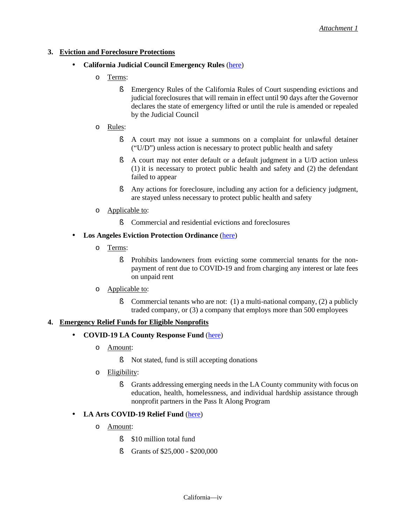### **3. Eviction and Foreclosure Protections**

- **California Judicial Council Emergency Rules** [\(here\)](https://www.thompsoncoburn.com/insights/blogs/the-ground-floor/post/2020-04-07/california-judicial-council-enacts-emergency-rules-to-suspend-eviction-and-foreclosure-actions-during-covid-19-pandemic)
	- o Terms:
		- § Emergency Rules of the California Rules of Court suspending evictions and judicial foreclosures that will remain in effect until 90 days after the Governor declares the state of emergency lifted or until the rule is amended or repealed by the Judicial Council
	- o Rules:
		- § A court may not issue a summons on a complaint for unlawful detainer ("U/D") unless action is necessary to protect public health and safety
		- § A court may not enter default or a default judgment in a U/D action unless (1) it is necessary to protect public health and safety and (2) the defendant failed to appear
		- § Any actions for foreclosure, including any action for a deficiency judgment, are stayed unless necessary to protect public health and safety
	- o Applicable to:
		- **§** Commercial and residential evictions and foreclosures

### **Los Angeles Eviction Protection Ordinance** [\(here\)](https://www.gibsondunn.com/state-of-california-and-city-of-los-angeles-enact-new-tenant-protections-in-response-to-covid-19-pandemic/)

o Terms:

ä,

- § Prohibits landowners from evicting some commercial tenants for the nonpayment of rent due to COVID-19 and from charging any interest or late fees on unpaid rent
- o Applicable to:
	- S Commercial tenants who are not: (1) a multi-national company, (2) a publicly traded company, or (3) a company that employs more than 500 employees

### **4. Emergency Relief Funds for Eligible Nonprofits**

#### **COVID-19 LA County Response Fund** [\(here\)](https://www.calfund.org/covid-19/) ä.

- o Amount:
	- § Not stated, fund is still accepting donations
- o Eligibility:
	- § Grants addressing emerging needs in the LA County community with focus on education, health, homelessness, and individual hardship assistance through nonprofit partners in the Pass It Along Program

#### ä, **LA Arts COVID-19 Relief Fund** [\(here\)](https://www.calfund.org/la-arts-covid19-relief-fund/)

- o Amount:
	- § \$10 million total fund
	- § Grants of \$25,000 \$200,000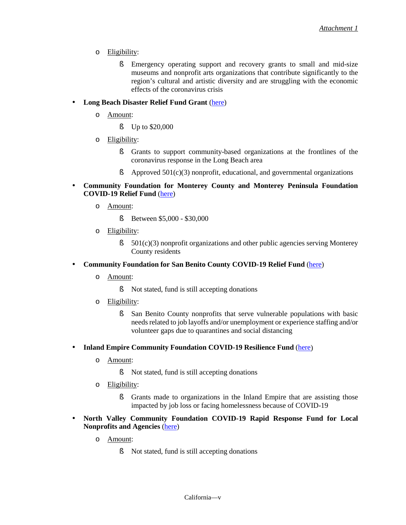- o Eligibility:
	- § Emergency operating support and recovery grants to small and mid-size museums and nonprofit arts organizations that contribute significantly to the region's cultural and artistic diversity and are struggling with the economic effects of the coronavirus crisis
- **Long Beach Disaster Relief Fund Grant** [\(here\)](https://longbeachcf.org/lb-disaster-relief-grant/)  $\blacksquare$ 
	- o Amount:
		- § Up to \$20,000
	- o Eligibility:
		- § Grants to support community-based organizations at the frontlines of the coronavirus response in the Long Beach area
		- $\blacklozenge$  Approved 501(c)(3) nonprofit, educational, and governmental organizations
- **Community Foundation for Monterey County and Monterey Peninsula Foundation** ł, **COVID-19 Relief Fund** [\(here\)](https://www.cfmco.org/nonprofits/grants/covid-19-relief-grants/)
	- o Amount:
		- § Between \$5,000 \$30,000
	- o Eligibility:
		- $\S$  501(c)(3) nonprofit organizations and other public agencies serving Monterey County residents
- **Community Foundation for San Benito County COVID-19 Relief Fund** [\(here\)](http://givesanbenito.org/)
	- o Amount:

ä,

- § Not stated, fund is still accepting donations
- o Eligibility:
	- § San Benito County nonprofits that serve vulnerable populations with basic needs related to job layoffs and/or unemployment or experience staffing and/or volunteer gaps due to quarantines and social distancing
- **Inland Empire Community Foundation COVID-19 Resilience Fund** [\(here\)](https://www.thecommunityfoundation.net/75years/coronavirus-relief/) ł,
	- o Amount:
		- § Not stated, fund is still accepting donations
	- o Eligibility:
		- § Grants made to organizations in the Inland Empire that are assisting those impacted by job loss or facing homelessness because of COVID-19
- **North Valley Community Foundation COVID-19 Rapid Response Fund for Local Nonprofits and Agencies** [\(here\)](https://www.nvcf.org/funds/Coronavirus-(COVID-19)-Rapid-Response-Fund-for-Local-Nonprofits-and-Agencies)
	- o Amount:
		- § Not stated, fund is still accepting donations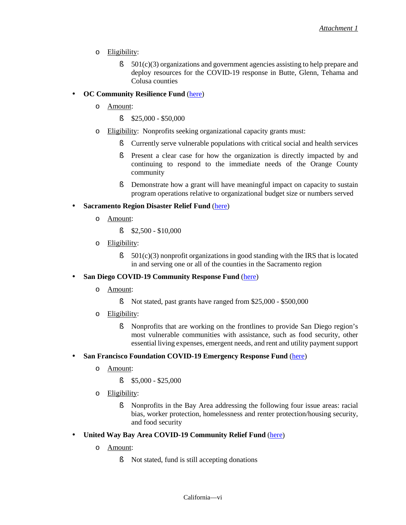- o Eligibility:
	- $\S$  501(c)(3) organizations and government agencies assisting to help prepare and deploy resources for the COVID-19 response in Butte, Glenn, Tehama and Colusa counties

#### **OC Community Resilience Fund** [\(here\)](https://charitableventuresoc.org/resiliencefund/)

o Amount:

ä,

- $$25,000 $50,000$
- o Eligibility: Nonprofits seeking organizational capacity grants must:
	- § Currently serve vulnerable populations with critical social and health services
	- § Present a clear case for how the organization is directly impacted by and continuing to respond to the immediate needs of the Orange County community
	- **§** Demonstrate how a grant will have meaningful impact on capacity to sustain program operations relative to organizational budget size or numbers served

#### ä, **Sacramento Region Disaster Relief Fund** [\(here\)](https://www.sacregcf.org/nonprofits/foundation-directed-grantmaking/grants-calendar-and-registry/sacramento-region-disaster-relief-fund/)

- o Amount:
	- $$2,500 $10,000$
- o Eligibility:
	- $\S$  501(c)(3) nonprofit organizations in good standing with the IRS that is located in and serving one or all of the counties in the Sacramento region

#### **San Diego COVID-19 Community Response Fund** [\(here\)](https://www.sdfoundation.org/programs/programs-and-funds/san-diego-covid-19-community-response-fund) ä,

- o Amount:
	- § Not stated, past grants have ranged from \$25,000 \$500,000
- o Eligibility:
	- § Nonprofits that are working on the frontlines to provide San Diego region's most vulnerable communities with assistance, such as food security, other essential living expenses, emergent needs, and rent and utility payment support

#### **San Francisco Foundation COVID-19 Emergency Response Fund** [\(here\)](https://sff.org/for-nonprofits-apply-for-a-grant-from-the-sff-covid-19-emergency-response-fund/) ÷.

- o Amount:
	- $$5,000 $25,000$
- o Eligibility:
	- § Nonprofits in the Bay Area addressing the following four issue areas: racial bias, worker protection, homelessness and renter protection/housing security, and food security
- **United Way Bay Area COVID-19 Community Relief Fund** [\(here\)](https://uwba.org/covid19fund/grantee-application/) ä,
	- o Amount:
		- § Not stated, fund is still accepting donations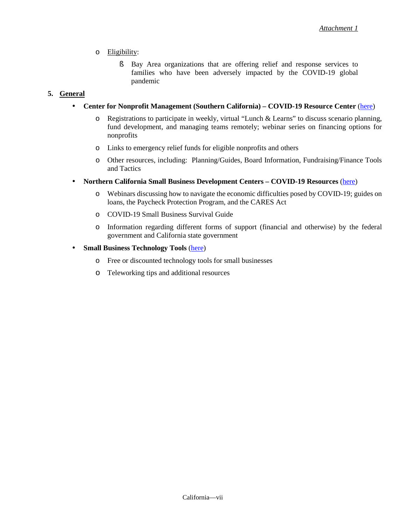### o Eligibility:

§ Bay Area organizations that are offering relief and response services to families who have been adversely impacted by the COVID-19 global pandemic

### **5. General**

ä,

l,

#### **Center for Nonprofit Management (Southern California) – COVID-19 Resource Center** [\(here\)](https://www.cnmsocal.org/covid19) ä,

- o Registrations to participate in weekly, virtual "Lunch & Learns" to discuss scenario planning, fund development, and managing teams remotely; webinar series on financing options for nonprofits
- o Links to emergency relief funds for eligible nonprofits and others
- o Other resources, including: Planning/Guides, Board Information, Fundraising/Finance Tools and Tactics
- **Northern California Small Business Development Centers COVID-19 Resources** [\(here\)](https://www.norcalsbdc.org/covid-19)
	- o Webinars discussing how to navigate the economic difficulties posed by COVID-19; guides on loans, the Paycheck Protection Program, and the CARES Act
	- o COVID-19 Small Business Survival Guide
	- o Information regarding different forms of support (financial and otherwise) by the federal government and California state government
- **Small Business Technology Tools** [\(here\)](https://static.business.ca.gov/wp-content/uploads/2020/04/Technology-Products-and-Telework-Tips-Businesses-Final.pdf)
	- o Free or discounted technology tools for small businesses
	- o Teleworking tips and additional resources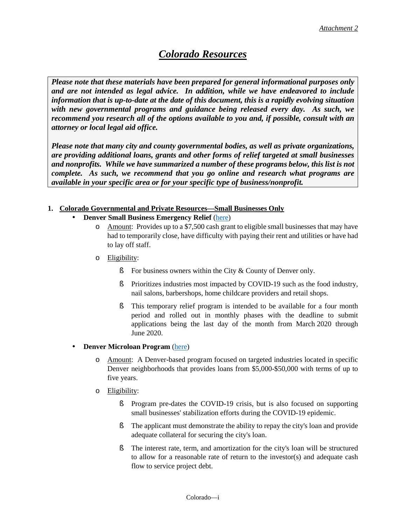### *Colorado Resources*

*Please note that these materials have been prepared for general informational purposes only and are not intended as legal advice. In addition, while we have endeavored to include information that is up-to-date at the date of this document, this is a rapidly evolving situation with new governmental programs and guidance being released every day. As such, we recommend you research all of the options available to you and, if possible, consult with an attorney or local legal aid office.* 

*Please note that many city and county governmental bodies, as well as private organizations, are providing additional loans, grants and other forms of relief targeted at small businesses and nonprofits. While we have summarized a number of these programs below, this list is not complete. As such, we recommend that you go online and research what programs are available in your specific area or for your specific type of business/nonprofit.*

### **1. Colorado Governmental and Private Resources—Small Businesses Only**

- **Denver Small Business Emergency Relief** [\(here\)](https://www.denvergov.org/content/denvergov/en/environmental-health/news/coronavirus-info/support-services/business-assistance.html)
	- o Amount: Provides up to a \$7,500 cash grant to eligible small businesses that may have had to temporarily close, have difficulty with paying their rent and utilities or have had to lay off staff.
	- o Eligibility:
		- **§** For business owners within the City & County of Denver only.
		- § Prioritizes industries most impacted by COVID-19 such as the food industry, nail salons, barbershops, home childcare providers and retail shops.
		- § This temporary relief program is intended to be available for a four month period and rolled out in monthly phases with the deadline to submit applications being the last day of the month from March 2020 through June 2020.

### **Denver Microloan Program** [\(here\)](https://www.cedsfinance.org/med/denver-microloan-program/)

- o Amount: A Denver-based program focused on targeted industries located in specific Denver neighborhoods that provides loans from \$5,000-\$50,000 with terms of up to five years.
- o Eligibility:

ł,

- § Program pre-dates the COVID-19 crisis, but is also focused on supporting small businesses' stabilization efforts during the COVID-19 epidemic.
- **§** The applicant must demonstrate the ability to repay the city's loan and provide adequate collateral for securing the city's loan.
- § The interest rate, term, and amortization for the city's loan will be structured to allow for a reasonable rate of return to the investor(s) and adequate cash flow to service project debt.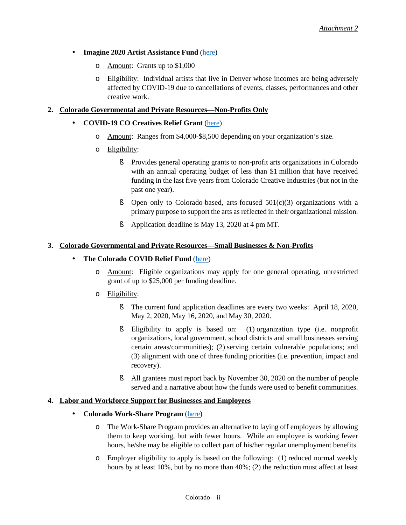l,

### **Imagine 2020 Artist Assistance Fund** [\(here\)](http://www.artsandvenuesdenver.com/about-imagine-2020/imagine-2020-artist-assistance-fund)

- o Amount: Grants up to \$1,000
- o Eligibility: Individual artists that live in Denver whose incomes are being adversely affected by COVID-19 due to cancellations of events, classes, performances and other creative work.

### **2. Colorado Governmental and Private Resources—Non-Profits Only**

#### **COVID-19 CO Creatives Relief Grant** [\(here\)](http://www.coloradocreativeindustries.org/opportunities/covid-19-co-creatives-relief-grant/)

- o Amount: Ranges from \$4,000-\$8,500 depending on your organization's size.
- o Eligibility:
	- § Provides general operating grants to non-profit arts organizations in Colorado with an annual operating budget of less than \$1 million that have received funding in the last five years from Colorado Creative Industries (but not in the past one year).
	- **§** Open only to Colorado-based, arts-focused  $501(c)(3)$  organizations with a primary purpose to support the arts as reflected in their organizational mission.
	- § Application deadline is May 13, 2020 at 4 pm MT.

#### **3. Colorado Governmental and Private Resources—Small Businesses & Non-Profits**

#### **The Colorado COVID Relief Fund** [\(here\)](https://helpcoloradonow.org/covid_relief-fund/) ä,

- o Amount: Eligible organizations may apply for one general operating, unrestricted grant of up to \$25,000 per funding deadline.
- o Eligibility:
	- § The current fund application deadlines are every two weeks: April 18, 2020, May 2, 2020, May 16, 2020, and May 30, 2020.
	- § Eligibility to apply is based on: (1) organization type (i.e. nonprofit organizations, local government, school districts and small businesses serving certain areas/communities); (2) serving certain vulnerable populations; and (3) alignment with one of three funding priorities (i.e. prevention, impact and recovery).
	- § All grantees must report back by November 30, 2020 on the number of people served and a narrative about how the funds were used to benefit communities.

#### **4. Labor and Workforce Support for Businesses and Employees**

- **Colorado Work-Share Program** [\(here\)](https://www.colorado.gov/pacific/cdle/layoffassistance)
	- o The Work-Share Program provides an alternative to laying off employees by allowing them to keep working, but with fewer hours. While an employee is working fewer hours, he/she may be eligible to collect part of his/her regular unemployment benefits.
	- o Employer eligibility to apply is based on the following: (1) reduced normal weekly hours by at least 10%, but by no more than 40%; (2) the reduction must affect at least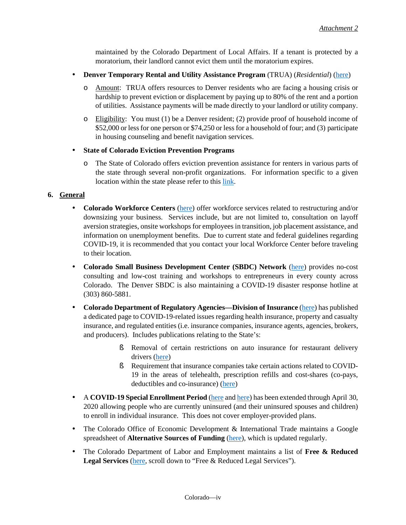maintained by the Colorado Department of Local Affairs. If a tenant is protected by a moratorium, their landlord cannot evict them until the moratorium expires.

- ÷. **Denver Temporary Rental and Utility Assistance Program** (TRUA) (*Residential*) [\(here\)](https://www.denvergov.org/content/denvergov/en/housing-information/resident-resources/stay-in-your-home/rent-utility-help.html)
	- o Amount: TRUA offers resources to Denver residents who are facing a housing crisis or hardship to prevent eviction or displacement by paying up to 80% of the rent and a portion of utilities. Assistance payments will be made directly to your landlord or utility company.
	- o Eligibility: You must (1) be a Denver resident; (2) provide proof of household income of \$52,000 or lessfor one person or \$74,250 or less for a household of four; and (3) participate in housing counseling and benefit navigation services.

#### k, **State of Colorado Eviction Prevention Programs**

o The State of Colorado offers eviction prevention assistance for renters in various parts of the state through several non-profit organizations. For information specific to a given location within the state please refer to this [link.](http://dola-online.maps.arcgis.com/apps/ZoneLookup/index.html?appid=dadc979eb66f41fb96e9ac935292330c)

#### **6. General**

- l, **Colorado Workforce Centers** [\(here\)](https://www.colorado.gov/pacific/cdle/wfc) offer workforce services related to restructuring and/or downsizing your business. Services include, but are not limited to, consultation on layoff aversion strategies, onsite workshops for employees in transition, job placement assistance, and information on unemployment benefits. Due to current state and federal guidelines regarding COVID-19, it is recommended that you contact your local Workforce Center before traveling to their location.
- **Colorado Small Business Development Center (SBDC) Network** [\(here\)](https://www.coloradosbdc.org/) provides no-cost í, consulting and low-cost training and workshops to entrepreneurs in every county across Colorado. The Denver SBDC is also maintaining a COVID-19 disaster response hotline at (303) 860-5881.
- **Colorado Department of Regulatory Agencies—Division of Insurance** [\(here\)](https://www.colorado.gov/pacific/dora/covid-19-and-insurance) has published a dedicated page to COVID-19-related issues regarding health insurance, property and casualty insurance, and regulated entities (i.e. insurance companies, insurance agents, agencies, brokers, and producers). Includes publications relating to the State's:
	- § Removal of certain restrictions on auto insurance for restaurant delivery drivers [\(here\)](https://www.colorado.gov/pacific/dora/news/restaurant-workers-can-now-deliver-food-less-red-tape-and-insurance-delays)
	- § Requirement that insurance companies take certain actions related to COVID-19 in the areas of telehealth, prescription refills and cost-shares (co-pays, deductibles and co-insurance) [\(here\)](https://www.colorado.gov/pacific/dora/news/consumer-advisory-division-insurance-directs-insurers-covid-19-coverage)
- A **COVID-19 Special Enrollment Period** [\(here a](https://www.colorado.gov/pacific/dora/news/covid-19-special-enrollment-period-health-insurance-extended-april-30)n[d here\)](https://connectforhealthco.com/get-started/covid-19-support/) has been extended through April 30, ä, 2020 allowing people who are currently uninsured (and their uninsured spouses and children) to enroll in individual insurance. This does not cover employer-provided plans.
- ¥. The Colorado Office of Economic Development & International Trade maintains a Google spreadsheet of **Alternative Sources of Funding** [\(here\)](https://docs.google.com/spreadsheets/d/18B-l5Rz8XE14Bn9LdQ1a8oDOpi6kKB1p0v2L_qQtVBE/edit?usp=sharing), which is updated regularly.
- $\mathbf{r}$ The Colorado Department of Labor and Employment maintains a list of **Free & Reduced Legal Services** [\(here,](https://www.colorado.gov/pacific/cdle/more-assistance) scroll down to "Free & Reduced Legal Services").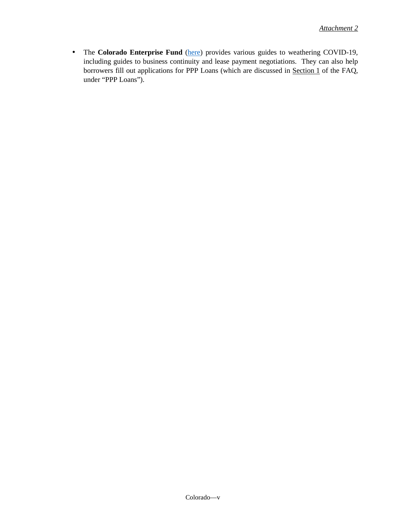The **Colorado Enterprise Fund** [\(here\)](https://coloradoenterprisefund.org/resources/cef-covid-19-small-business-resource-hub-colorado-enterprise-fund/) provides various guides to weathering COVID-19, Î, including guides to business continuity and lease payment negotiations. They can also help borrowers fill out applications for PPP Loans (which are discussed in Section 1 of the FAQ, under "PPP Loans").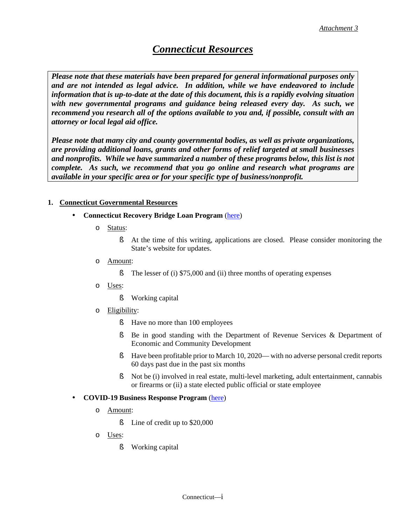### *Connecticut Resources*

*Please note that these materials have been prepared for general informational purposes only and are not intended as legal advice. In addition, while we have endeavored to include information that is up-to-date at the date of this document, this is a rapidly evolving situation with new governmental programs and guidance being released every day. As such, we recommend you research all of the options available to you and, if possible, consult with an attorney or local legal aid office.* 

*Please note that many city and county governmental bodies, as well as private organizations, are providing additional loans, grants and other forms of relief targeted at small businesses*  and nonprofits. While we have summarized a number of these programs below, this list is not *complete. As such, we recommend that you go online and research what programs are available in your specific area or for your specific type of business/nonprofit.*

#### **1. Connecticut Governmental Resources**

- **Connecticut Recovery Bridge Loan Program** [\(here\)](https://portal.ct.gov/DECD/Content/Coronavirus-Business-Recovery/CT-Recovery-Bridge-Loan-Program)
	- o Status:
		- § At the time of this writing, applications are closed. Please consider monitoring the State's website for updates.
	- o Amount:
		- § The lesser of (i) \$75,000 and (ii) three months of operating expenses
	- o Uses:
		- § Working capital
	- o Eligibility:
		- § Have no more than 100 employees
		- § Be in good standing with the Department of Revenue Services & Department of Economic and Community Development
		- § Have been profitable prior to March 10, 2020— with no adverse personal credit reports 60 days past due in the past six months
		- § Not be (i) involved in real estate, multi-level marketing, adult entertainment, cannabis or firearms or (ii) a state elected public official or state employee

#### ä, **COVID-19 Business Response Program** [\(here\)](https://ctsbdc.com/covid19-businessresourcecenter/)

- o Amount:
	- **§** Line of credit up to \$20,000
- o Uses:
	- § Working capital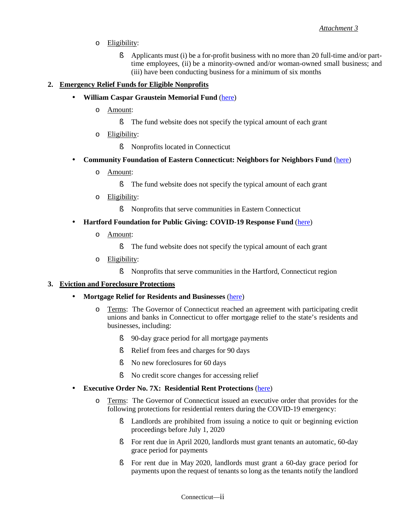l,

l,

- o Eligibility:
	- § Applicants must (i) be a for-profit business with no more than 20 full-time and/or parttime employees, (ii) be a minority-owned and/or woman-owned small business; and (iii) have been conducting business for a minimum of six months

### **2. Emergency Relief Funds for Eligible Nonprofits**

- **William Caspar Graustein Memorial Fund** [\(here\)](http://www.wcgmf.org/home)
	- o Amount:
		- § The fund website does not specify the typical amount of each grant
	- o Eligibility:
		- § Nonprofits located in Connecticut
- **Community Foundation of Eastern Connecticut: Neighbors for Neighbors Fund** [\(here\)](https://www.cfect.org/Our-Initiatives/Response-to-COVID-19)
	- o Amount:
		- § The fund website does not specify the typical amount of each grant
	- o Eligibility:
		- § Nonprofits that serve communities in Eastern Connecticut
- **Hartford Foundation for Public Giving: COVID-19 Response Fund** [\(here\)](https://www.hfpg.org/nonprofits)
	- o Amount:
		- § The fund website does not specify the typical amount of each grant
	- o Eligibility:
		- § Nonprofits that serve communities in the Hartford, Connecticut region

#### **3. Eviction and Foreclosure Protections**

- **Mortgage Relief for Residents and Businesses** [\(here\)](https://portal.ct.gov/DOB/Consumer/Consumer-Help/COVID-19-Mortgage-Relief#banks)
	- o Terms: The Governor of Connecticut reached an agreement with participating credit unions and banks in Connecticut to offer mortgage relief to the state's residents and businesses, including:
		- § 90-day grace period for all mortgage payments
		- § Relief from fees and charges for 90 days
		- § No new foreclosures for 60 days
		- § No credit score changes for accessing relief
	- **Executive Order No. 7X: Residential Rent Protections** [\(here\)](https://portal.ct.gov/-/media/Office-of-the-Governor/Executive-Orders/Lamont-Executive-Orders/Executive-Order-No-7X.pdf?la=en)
		- o Terms: The Governor of Connecticut issued an executive order that provides for the following protections for residential renters during the COVID-19 emergency:
			- § Landlords are prohibited from issuing a notice to quit or beginning eviction proceedings before July 1, 2020
			- § For rent due in April 2020, landlords must grant tenants an automatic, 60-day grace period for payments
			- § For rent due in May 2020, landlords must grant a 60-day grace period for payments upon the request of tenants so long as the tenants notify the landlord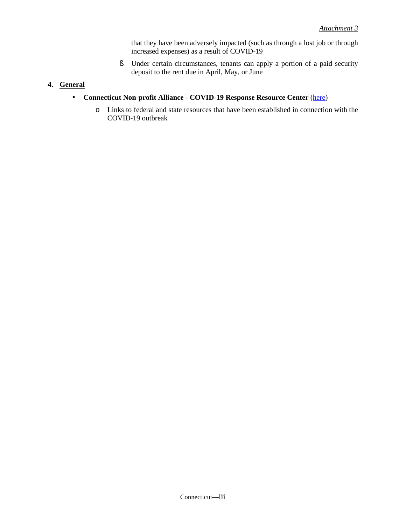that they have been adversely impacted (such as through a lost job or through increased expenses) as a result of COVID-19

§ Under certain circumstances, tenants can apply a portion of a paid security deposit to the rent due in April, May, or June

### **4. General**

- $\mathcal{L}^{\pm}$ **Connecticut Non-profit Alliance - COVID-19 Response Resource Center** [\(here\)](http://ctnonprofitalliance.org/)
	- o Links to federal and state resources that have been established in connection with the COVID-19 outbreak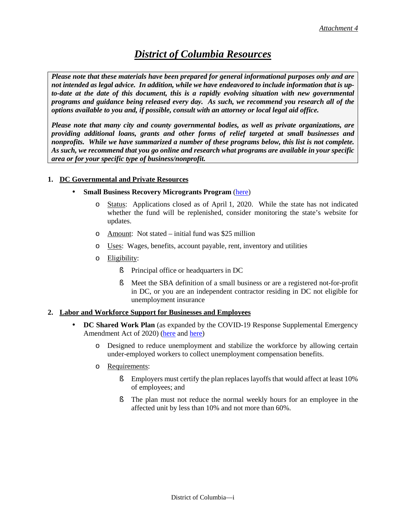### *District of Columbia Resources*

*Please note that these materials have been prepared for general informational purposes only and are not intended as legal advice. In addition, while we have endeavored to include information that is upto-date at the date of this document, this is a rapidly evolving situation with new governmental programs and guidance being released every day. As such, we recommend you research all of the options available to you and, if possible, consult with an attorney or local legal aid office.* 

*Please note that many city and county governmental bodies, as well as private organizations, are providing additional loans, grants and other forms of relief targeted at small businesses and nonprofits. While we have summarized a number of these programs below, this list is not complete. As such, we recommend that you go online and research what programs are available in your specific area or for your specific type of business/nonprofit.*

#### **1. DC Governmental and Private Resources**

#### **Small Business Recovery Microgrants Program** [\(here\)](https://coronavirus.dc.gov/dc-small-business-recovery-grants)

- Status: Applications closed as of April 1, 2020. While the state has not indicated whether the fund will be replenished, consider monitoring the state's website for updates.
- o Amount: Not stated initial fund was \$25 million
- o Uses: Wages, benefits, account payable, rent, inventory and utilities
- o Eligibility:

 $\blacksquare$ 

- § Principal office or headquarters in DC
- § Meet the SBA definition of a small business or are a registered not-for-profit in DC, or you are an independent contractor residing in DC not eligible for unemployment insurance

#### **2. Labor and Workforce Support for Businesses and Employees**

- **DC Shared Work Plan** (as expanded by the COVID-19 Response Supplemental Emergency Amendment Act of 2020) [\(here](https://does.dc.gov/page/dc-shared-work-plan-application) and [here\)](http://lims.dccouncil.us/Download/44543/B23-0733-SignedAct.pdf)
	- o Designed to reduce unemployment and stabilize the workforce by allowing certain under-employed workers to collect unemployment compensation benefits.
	- o Requirements:
		- **§** Employers must certify the plan replaces layoffs that would affect at least 10% of employees; and
		- § The plan must not reduce the normal weekly hours for an employee in the affected unit by less than 10% and not more than 60%.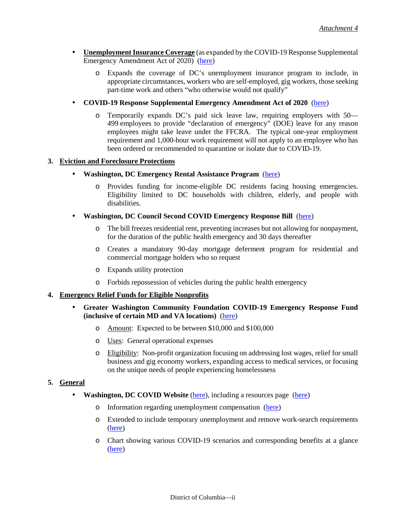- l, **Unemployment Insurance Coverage** (as expanded by the COVID-19 Response Supplemental Emergency Amendment Act of 2020) [\(here\)](https://www.littler.com/publication-press/publication/dc-council-adopts-expanded-sick-leave-unemployment-amendments)
	- o Expands the coverage of DC's unemployment insurance program to include, in appropriate circumstances, workers who are self-employed, gig workers, those seeking part-time work and others "who otherwise would not qualify"
- **COVID-19 Response Supplemental Emergency Amendment Act of 2020** [\(here\)](https://www.littler.com/publication-press/publication/dc-council-adopts-expanded-sick-leave-unemployment-amendments)
	- o Temporarily expands DC's paid sick leave law, requiring employers with 50— 499 employees to provide "declaration of emergency" (DOE) leave for any reason employees might take leave under the FFCRA. The typical one-year employment requirement and 1,000-hour work requirement will not apply to an employee who has been ordered or recommended to quarantine or isolate due to COVID-19.

#### **3. Eviction and Foreclosure Protections**

l,

- **Washington, DC Emergency Rental Assistance Program** [\(here\)](https://dhs.dc.gov/service/emergency-rental-assistance-program)
	- o Provides funding for income-eligible DC residents facing housing emergencies. Eligibility limited to DC households with children, elderly, and people with disabilities.
- **Washington, DC Council Second COVID Emergency Response Bill** [\(here\)](https://dccouncil.us/in-first-ever-virtual-online-legislative-meeting-council-unanimously-approves-broad-second-covid-emergency-response-bill/)
	- o The bill freezes residential rent, preventing increases but not allowing for nonpayment, for the duration of the public health emergency and 30 days thereafter
	- o Creates a mandatory 90-day mortgage deferment program for residential and commercial mortgage holders who so request
	- o Expands utility protection
	- o Forbids repossession of vehicles during the public health emergency

#### **4. Emergency Relief Funds for Eligible Nonprofits**

- **Greater Washington Community Foundation COVID-19 Emergency Response Fund** ä, **(inclusive of certain MD and VA locations)** [\(here\)](https://www.thecommunityfoundation.org/covid-19)
	- o Amount: Expected to be between \$10,000 and \$100,000
	- o Uses: General operational expenses
	- o Eligibility: Non-profit organization focusing on addressing lost wages, relief for small business and gig economy workers, expanding access to medical services, or focusing on the unique needs of people experiencing homelessness

#### **5. General**

- **Washington, DC COVID Website** [\(here\)](https://coronavirus.dc.gov/page/coronavirus-covid-19-resources), including a resources page (here)
	- o Information regarding unemployment compensation [\(here\)](https://does.dc.gov/service/unemployment-compensation-process)
	- o Extended to include temporary unemployment and remove work-search requirements [\(here\)](http://lims.dccouncil.us/Download/44469/B23-0718-Enrollment.pdf)
	- o Chart showing various COVID-19 scenarios and corresponding benefits at a glance [\(here\)](https://does.dc.gov/sites/default/files/dc/sites/does/publication/attachments/COVID19_DOES_Scenarios.pdf)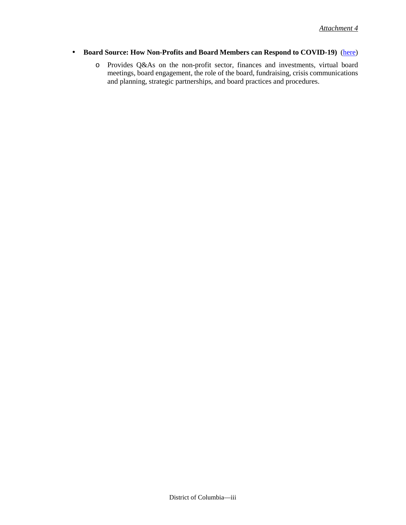l,

### **Board Source: How Non-Profits and Board Members can Respond to COVID-19)** [\(here\)](https://boardsource.org/resources/nonprofit-board-member-respond-covid-19/)

o Provides Q&As on the non-profit sector, finances and investments, virtual board meetings, board engagement, the role of the board, fundraising, crisis communications and planning, strategic partnerships, and board practices and procedures.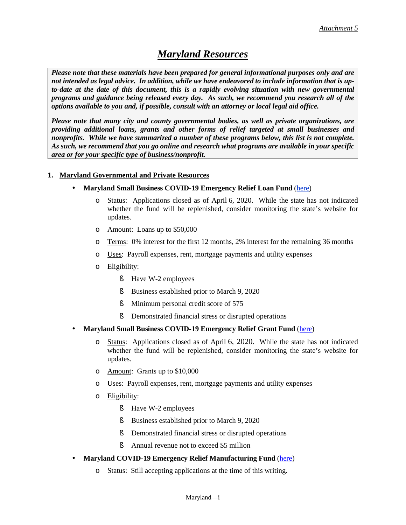### *Maryland Resources*

*Please note that these materials have been prepared for general informational purposes only and are not intended as legal advice. In addition, while we have endeavored to include information that is upto-date at the date of this document, this is a rapidly evolving situation with new governmental programs and guidance being released every day. As such, we recommend you research all of the options available to you and, if possible, consult with an attorney or local legal aid office.* 

*Please note that many city and county governmental bodies, as well as private organizations, are providing additional loans, grants and other forms of relief targeted at small businesses and nonprofits. While we have summarized a number of these programs below, this list is not complete. As such, we recommend that you go online and research what programs are available in your specific area or for your specific type of business/nonprofit.*

#### **1. Maryland Governmental and Private Resources**

- **Maryland Small Business COVID-19 Emergency Relief Loan Fund** [\(here\)](https://commerce.maryland.gov/fund/maryland-small-business-covid-19-emergency-relief-loan-fund)
	- o Status: Applications closed as of April 6, 2020. While the state has not indicated whether the fund will be replenished, consider monitoring the state's website for updates.
	- o Amount: Loans up to \$50,000
	- o Terms: 0% interest for the first 12 months, 2% interest for the remaining 36 months
	- o Uses: Payroll expenses, rent, mortgage payments and utility expenses
	- o Eligibility:
		- § Have W-2 employees
		- § Business established prior to March 9, 2020
		- **§** Minimum personal credit score of 575
		- **§** Demonstrated financial stress or disrupted operations
- **Maryland Small Business COVID-19 Emergency Relief Grant Fund** [\(here\)](https://commerce.maryland.gov/fund/maryland-small-business-covid-19-emergency-relief-grant-fund)
	- o Status: Applications closed as of April 6, 2020. While the state has not indicated whether the fund will be replenished, consider monitoring the state's website for updates.
	- o Amount: Grants up to \$10,000
	- o Uses: Payroll expenses, rent, mortgage payments and utility expenses
	- o Eligibility:
		- § Have W-2 employees
		- § Business established prior to March 9, 2020
		- **§** Demonstrated financial stress or disrupted operations
		- **§** Annual revenue not to exceed \$5 million
- **Maryland COVID-19 Emergency Relief Manufacturing Fund** [\(here\)](https://commerce.maryland.gov/fund/maryland-covid-19-emergency-relief-manufacturing-fund) l,
	- o Status: Still accepting applications at the time of this writing.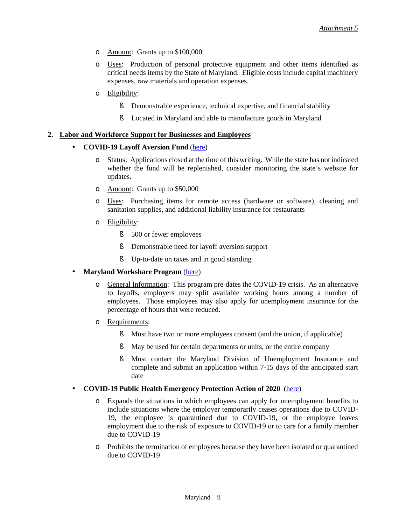- o Amount: Grants up to \$100,000
- o Uses: Production of personal protective equipment and other items identified as critical needs items by the State of Maryland. Eligible costs include capital machinery expenses, raw materials and operation expenses.
- o Eligibility:
	- § Demonstrable experience, technical expertise, and financial stability
	- § Located in Maryland and able to manufacture goods in Maryland

#### **2. Labor and Workforce Support for Businesses and Employees**

#### **COVID-19 Layoff Aversion Fund** [\(here\)](http://www.labor.maryland.gov/employment/covidlafund.shtml)

- o Status: Applications closed at the time of this writing. While the state has not indicated whether the fund will be replenished, consider monitoring the state's website for updates.
- o Amount: Grants up to \$50,000
- o Uses: Purchasing items for remote access (hardware or software), cleaning and sanitation supplies, and additional liability insurance for restaurants
- o Eligibility:
	- § 500 or fewer employees
	- § Demonstrable need for layoff aversion support
	- § Up-to-date on taxes and in good standing
- **Maryland Workshare Program** [\(here\)](https://www.dllr.state.md.us/employment/worksharing/uiwsempfaqs.shtml)
	- o General Information: This program pre-dates the COVID-19 crisis. As an alternative to layoffs, employers may split available working hours among a number of employees. Those employees may also apply for unemployment insurance for the percentage of hours that were reduced.
	- o Requirements:

l,

- § Must have two or more employees consent (and the union, if applicable)
- § May be used for certain departments or units, or the entire company
- § Must contact the Maryland Division of Unemployment Insurance and complete and submit an application within 7-15 days of the anticipated start date

#### **COVID-19 Public Health Emergency Protection Action of 2020** [\(here\)](https://www.jacksonlewis.com/publication/what-employers-need-know-about-maryland-s-approach-covid-19)

- o Expands the situations in which employees can apply for unemployment benefits to include situations where the employer temporarily ceases operations due to COVID-19, the employee is quarantined due to COVID-19, or the employee leaves employment due to the risk of exposure to COVID-19 or to care for a family member due to COVID-19
- o Prohibits the termination of employees because they have been isolated or quarantined due to COVID-19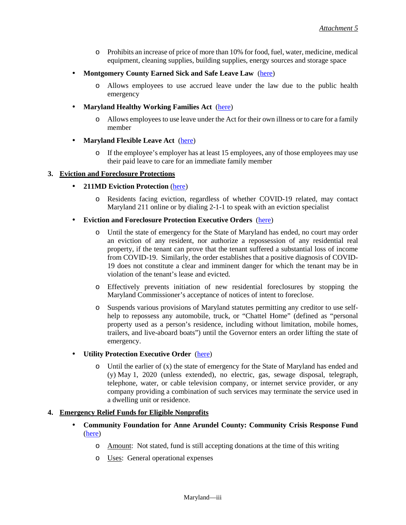- o Prohibits an increase of price of more than 10% for food, fuel, water, medicine, medical equipment, cleaning supplies, building supplies, energy sources and storage space
- **Montgomery County Earned Sick and Safe Leave Law** [\(here\)](https://codelibrary.amlegal.com/codes/montgomerycounty/latest/montgomeryco_md/0-0-0-13448#rid-0-0-0-102328)
	- o Allows employees to use accrued leave under the law due to the public health emergency
- **Maryland Healthy Working Families Act** [\(here\)](https://www.jacksonlewis.com/sites/default/files/docs/MHWFACh_1_hb0001E.pdf)
	- o Allows employees to use leave under the Act for their own illness or to care for a family member
- **Maryland Flexible Leave Act** [\(here\)](https://www.jacksonlewis.com/sites/default/files/docs/MarylandFlexibleLeaveSB0562.pdf) ä,
	- o If the employee's employer has at least 15 employees, any of those employees may use their paid leave to care for an immediate family member

#### **3. Eviction and Foreclosure Protections**

l,

- **211MD Eviction Protection** [\(here\)](https://211md.org/eviction-prevention)
	- o Residents facing eviction, regardless of whether COVID-19 related, may contact Maryland 211 online or by dialing 2-1-1 to speak with an eviction specialist
- l, **Eviction and Foreclosure Protection Executive Orders** [\(here\)](https://www.consumerfinancialserviceslawmonitor.com/2020/04/maryland-governor-issues-amended-executive-order-suspending-residential-foreclosures-and-certain-residential-and-commercial-evictions/)
	- o Until the state of emergency for the State of Maryland has ended, no court may order an eviction of any resident, nor authorize a repossession of any residential real property, if the tenant can prove that the tenant suffered a substantial loss of income from COVID-19. Similarly, the order establishes that a positive diagnosis of COVID-19 does not constitute a clear and imminent danger for which the tenant may be in violation of the tenant's lease and evicted.
	- o Effectively prevents initiation of new residential foreclosures by stopping the Maryland Commissioner's acceptance of notices of intent to foreclose.
	- o Suspends various provisions of Maryland statutes permitting any creditor to use selfhelp to repossess any automobile, truck, or "Chattel Home" (defined as "personal property used as a person's residence, including without limitation, mobile homes, trailers, and live-aboard boats") until the Governor enters an order lifting the state of emergency.

#### **Utility Protection Executive Order** [\(here\)](https://governor.maryland.gov/wp-content/uploads/2020/03/Executive-Order-Prohibit-Termination-of-Residential.pdf)

 $\circ$  Until the earlier of (x) the state of emergency for the State of Maryland has ended and (y) May 1, 2020 (unless extended), no electric, gas, sewage disposal, telegraph, telephone, water, or cable television company, or internet service provider, or any company providing a combination of such services may terminate the service used in a dwelling unit or residence.

#### **4. Emergency Relief Funds for Eligible Nonprofits**

- **Community Foundation for Anne Arundel County: Community Crisis Response Fund** [\(here\)](http://cfaac.org/index.html)
	- o Amount: Not stated, fund is still accepting donations at the time of this writing
	- o Uses: General operational expenses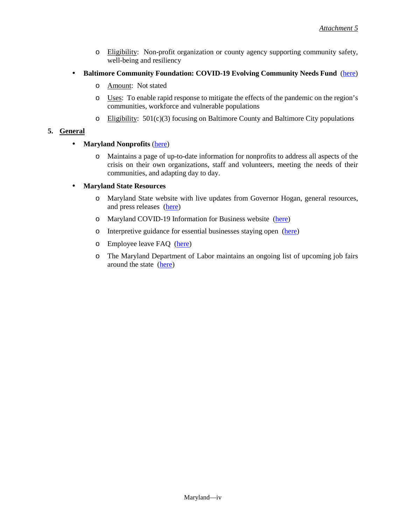- o Eligibility: Non-profit organization or county agency supporting community safety, well-being and resiliency
- **Baltimore Community Foundation: COVID-19 Evolving Community Needs Fund** [\(here\)](https://www.bcf.org/How-We-Work/Making-a-Difference-in-Baltimore/-Evolving-Community-Needs-Fund)
	- o Amount: Not stated
	- o Uses: To enable rapid response to mitigate the effects of the pandemic on the region's communities, workforce and vulnerable populations
	- $\circ$  Eligibility: 501(c)(3) focusing on Baltimore County and Baltimore City populations

#### **5. General**

l,

#### **Maryland Nonprofits** [\(here\)](https://www.marylandnonprofits.org/covid-19-resources-for-nonprofits/)

o Maintains a page of up-to-date information for nonprofits to address all aspects of the crisis on their own organizations, staff and volunteers, meeting the needs of their communities, and adapting day to day.

#### **Maryland State Resources**

- o Maryland State website with live updates from Governor Hogan, general resources, and press releases [\(here\)](https://governor.maryland.gov/coronavirus/)
- o Maryland COVID-19 Information for Business website [\(here\)](https://govstatus.egov.com/md-coronavirus-business)
- o Interpretive guidance for essential businesses staying open [\(here\)](https://governor.maryland.gov/wp-content/uploads/2020/03/OLC-Interpretive-Guidance-COVID19-08.pdf)
- o Employee leave FAQ [\(here\)](https://www.dllr.state.md.us/employment/uicovidfaqs.shtml)
- o The Maryland Department of Labor maintains an ongoing list of upcoming job fairs around the state [\(here\)](http://labor.maryland.gov/employment/jobfairs.shtml)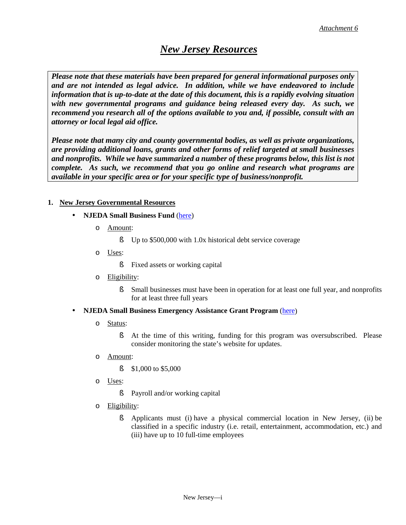### *New Jersey Resources*

*Please note that these materials have been prepared for general informational purposes only and are not intended as legal advice. In addition, while we have endeavored to include information that is up-to-date at the date of this document, this is a rapidly evolving situation with new governmental programs and guidance being released every day. As such, we recommend you research all of the options available to you and, if possible, consult with an attorney or local legal aid office.* 

*Please note that many city and county governmental bodies, as well as private organizations, are providing additional loans, grants and other forms of relief targeted at small businesses and nonprofits. While we have summarized a number of these programs below, this list is not complete. As such, we recommend that you go online and research what programs are available in your specific area or for your specific type of business/nonprofit.*

### **1. New Jersey Governmental Resources**

- **NJEDA Small Business Fund** [\(here\)](https://www.njeda.com/financing_incentives/programs/small_business_fund)
	- o Amount:
		- § Up to \$500,000 with 1.0x historical debt service coverage
	- o Uses:
		- § Fixed assets or working capital
	- o Eligibility:
		- § Small businesses must have been in operation for at least one full year, and nonprofits for at least three full years
- **NJEDA Small Business Emergency Assistance Grant Program** [\(here\)](https://faq.business.nj.gov/en/articles/3835237-will-additional-funding-be-made-available-via-the-njeda-small-business-emergency-assistance-grant-program) ä,
	- o Status:
		- § At the time of this writing, funding for this program was oversubscribed. Please consider monitoring the state's website for updates.
	- o Amount:
		- § \$1,000 to \$5,000
	- o Uses:
		- § Payroll and/or working capital
	- o Eligibility:
		- § Applicants must (i) have a physical commercial location in New Jersey, (ii) be classified in a specific industry (i.e. retail, entertainment, accommodation, etc.) and (iii) have up to 10 full-time employees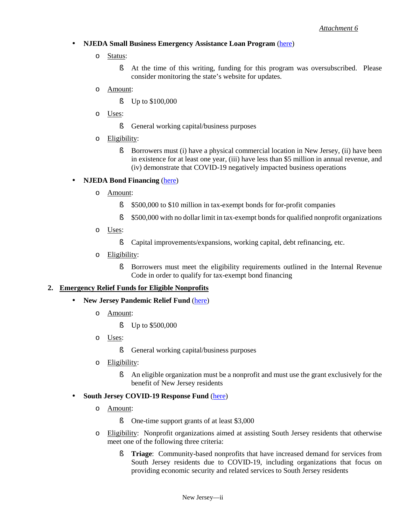### **NJEDA Small Business Emergency Assistance Loan Program** [\(here\)](https://faq.business.nj.gov/en/articles/3835238-how-do-i-apply-to-the-njeda-small-business-emergency-assistance-loan-application-now-open)

- o Status:
	- § At the time of this writing, funding for this program was oversubscribed. Please consider monitoring the state's website for updates.
- o Amount:
	- § Up to \$100,000
- o Uses:
	- **§** General working capital/business purposes
- o Eligibility:
	- § Borrowers must (i) have a physical commercial location in New Jersey, (ii) have been in existence for at least one year, (iii) have less than \$5 million in annual revenue, and (iv) demonstrate that COVID-19 negatively impacted business operations

#### **NJEDA Bond Financing** [\(here\)](https://www.njeda.com/financing_incentives/programs/bond_financing)

o Amount:

ä,

¥,

- § \$500,000 to \$10 million in tax-exempt bonds for for-profit companies
- § \$500,000 with no dollar limit in tax-exempt bonds for qualified nonprofit organizations
- o Uses:
	- § Capital improvements/expansions, working capital, debt refinancing, etc.
- o Eligibility:
	- § Borrowers must meet the eligibility requirements outlined in the Internal Revenue Code in order to qualify for tax-exempt bond financing

#### **2. Emergency Relief Funds for Eligible Nonprofits**

- **New Jersey Pandemic Relief Fund** [\(here\)](https://njprf.org/)
	- o Amount:
		- § Up to \$500,000
	- o Uses:
		- **§** General working capital/business purposes
	- o Eligibility:
		- § An eligible organization must be a nonprofit and must use the grant exclusively for the benefit of New Jersey residents

#### **South Jersey COVID-19 Response Fund** [\(here\)](https://www.communityfoundationsj.org/) t,

- o Amount:
	- § One-time support grants of at least \$3,000
- o Eligibility: Nonprofit organizations aimed at assisting South Jersey residents that otherwise meet one of the following three criteria:
	- § **Triage**: Community-based nonprofits that have increased demand for services from South Jersey residents due to COVID-19, including organizations that focus on providing economic security and related services to South Jersey residents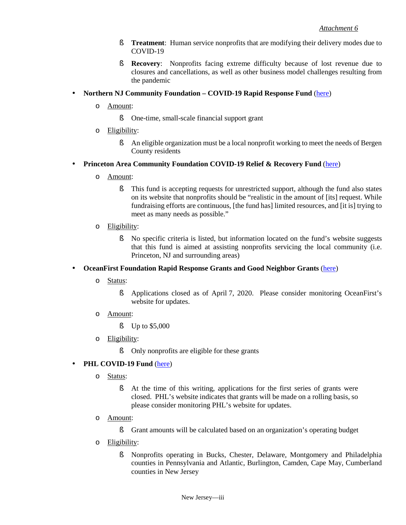- **§ Treatment**: Human service nonprofits that are modifying their delivery modes due to COVID-19
- § **Recovery**: Nonprofits facing extreme difficulty because of lost revenue due to closures and cancellations, as well as other business model challenges resulting from the pandemic

#### l, **Northern NJ Community Foundation – COVID-19 Rapid Response Fund** [\(here\)](https://www.nnjcf.org/cause-posts/covid-19-rapid-response-fund/)

- o Amount:
	- § One-time, small-scale financial support grant
- o Eligibility:
	- § An eligible organization must be a local nonprofit working to meet the needs of Bergen County residents
- l, **Princeton Area Community Foundation COVID-19 Relief & Recovery Fund** [\(here\)](https://pacf.org/the-princeton-area-community-foundation-covid-19-relief-recovery-fund/)
	- o Amount:
		- § This fund is accepting requests for unrestricted support, although the fund also states on its website that nonprofits should be "realistic in the amount of [its] request. While fundraising efforts are continuous, [the fund has] limited resources, and [it is] trying to meet as many needs as possible."
	- o Eligibility:
		- § No specific criteria is listed, but information located on the fund's website suggests that this fund is aimed at assisting nonprofits servicing the local community (i.e. Princeton, NJ and surrounding areas)

#### $\overline{a}$ **OceanFirst Foundation Rapid Response Grants and Good Neighbor Grants** [\(here\)](http://www.oceanfirstfdn.org/covid-19-information-updates/)

- o Status:
	- § Applications closed as of April 7, 2020. Please consider monitoring OceanFirst's website for updates.
- o Amount:
	- § Up to \$5,000
- o Eligibility:
	- § Only nonprofits are eligible for these grants

#### **PHL COVID-19 Fund** [\(here\)](https://www.philafound.org/covid-19/) ä,

- o Status:
	- § At the time of this writing, applications for the first series of grants were closed. PHL's website indicates that grants will be made on a rolling basis, so please consider monitoring PHL's website for updates.
- o Amount:
	- § Grant amounts will be calculated based on an organization's operating budget
- o Eligibility:
	- § Nonprofits operating in Bucks, Chester, Delaware, Montgomery and Philadelphia counties in Pennsylvania and Atlantic, Burlington, Camden, Cape May, Cumberland counties in New Jersey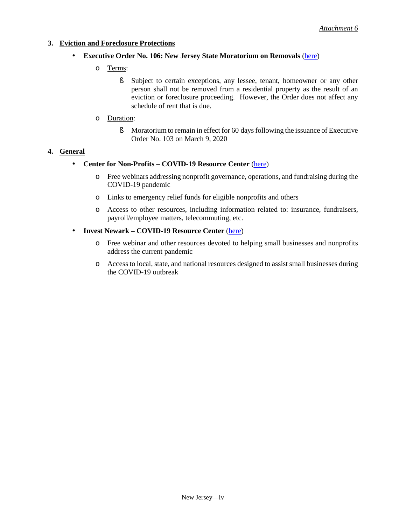#### **3. Eviction and Foreclosure Protections**

- **Executive Order No. 106: New Jersey State Moratorium on Removals** [\(here\)](https://nj.gov/infobank/eo/056murphy/pdf/EO-106.pdf)
	- o Terms:
		- § Subject to certain exceptions, any lessee, tenant, homeowner or any other person shall not be removed from a residential property as the result of an eviction or foreclosure proceeding. However, the Order does not affect any schedule of rent that is due.
	- o Duration:
		- **§** Moratorium to remain in effect for 60 days following the issuance of Executive Order No. 103 on March 9, 2020

#### **4. General**

 $\mathbf{r}^{\prime}$ 

- **Center for Non-Profits COVID-19 Resource Center** [\(here\)](https://www.njnonprofits.org/COVID-19.html)
	- o Free webinars addressing nonprofit governance, operations, and fundraising during the COVID-19 pandemic
	- o Links to emergency relief funds for eligible nonprofits and others
	- o Access to other resources, including information related to: insurance, fundraisers, payroll/employee matters, telecommuting, etc.

#### **Invest Newark – COVID-19 Resource Center** [\(here\)](https://investnewark.org/covid-19/) ä,

- o Free webinar and other resources devoted to helping small businesses and nonprofits address the current pandemic
- o Access to local, state, and national resources designed to assist small businesses during the COVID-19 outbreak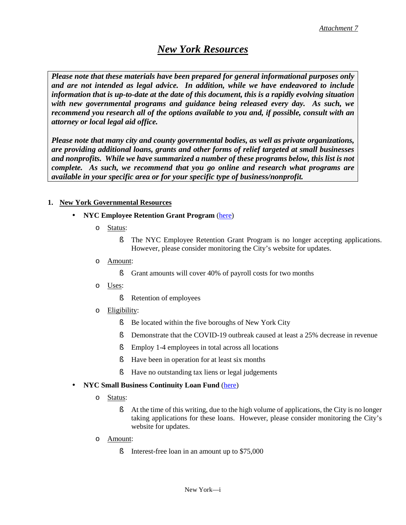### *New York Resources*

*Please note that these materials have been prepared for general informational purposes only and are not intended as legal advice. In addition, while we have endeavored to include information that is up-to-date at the date of this document, this is a rapidly evolving situation with new governmental programs and guidance being released every day. As such, we recommend you research all of the options available to you and, if possible, consult with an attorney or local legal aid office.* 

*Please note that many city and county governmental bodies, as well as private organizations, are providing additional loans, grants and other forms of relief targeted at small businesses and nonprofits. While we have summarized a number of these programs below, this list is not complete. As such, we recommend that you go online and research what programs are available in your specific area or for your specific type of business/nonprofit.*

### **1. New York Governmental Resources**

- **NYC Employee Retention Grant Program** [\(here\)](https://www1.nyc.gov/site/sbs/businesses/covid19-business-outreach.page)
	- o Status:
		- § The NYC Employee Retention Grant Program is no longer accepting applications. However, please consider monitoring the City's website for updates.
	- o Amount:
		- § Grant amounts will cover 40% of payroll costs for two months
	- o Uses:
		- **§** Retention of employees
	- o Eligibility:
		- § Be located within the five boroughs of New York City
		- § Demonstrate that the COVID-19 outbreak caused at least a 25% decrease in revenue
		- § Employ 1-4 employees in total across all locations
		- § Have been in operation for at least six months
		- § Have no outstanding tax liens or legal judgements
- **NYC Small Business Continuity Loan Fund** [\(here\)](https://www1.nyc.gov/site/sbs/businesses/covid19-business-outreach.page)
	- o Status:

÷

- § At the time of this writing, due to the high volume of applications, the City is no longer taking applications for these loans. However, please consider monitoring the City's website for updates.
- o Amount:
	- **§** Interest-free loan in an amount up to \$75,000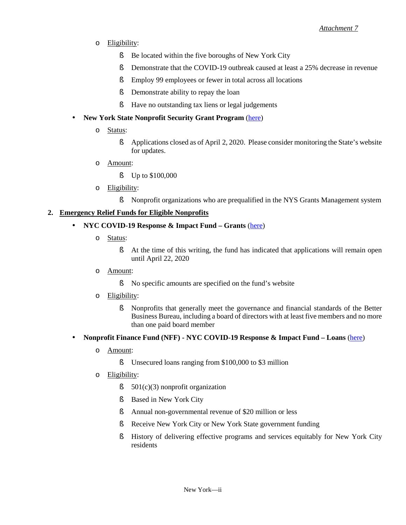- o Eligibility:
	- § Be located within the five boroughs of New York City
	- § Demonstrate that the COVID-19 outbreak caused at least a 25% decrease in revenue
	- § Employ 99 employees or fewer in total across all locations
	- **§** Demonstrate ability to repay the loan
	- § Have no outstanding tax liens or legal judgements
- **New York State Nonprofit Security Grant Program** [\(here\)](http://www.dhses.ny.gov/grants/nonprofit/nsgp.cfm) k,
	- o Status:
		- § Applications closed as of April 2, 2020. Please consider monitoring the State's website for updates.
	- o Amount:
		- § Up to \$100,000
	- o Eligibility:
		- § Nonprofit organizations who are prequalified in the NYS Grants Management system

#### **2. Emergency Relief Funds for Eligible Nonprofits**

#### **NYC COVID-19 Response & Impact Fund – Grants** [\(here\)](https://www.nycommunitytrust.org/covid19/)

o Status:

l,

- § At the time of this writing, the fund has indicated that applications will remain open until April 22, 2020
- o Amount:
	- § No specific amounts are specified on the fund's website
- o Eligibility:
	- § Nonprofits that generally meet the governance and financial standards of the Better Business Bureau, including a board of directors with at least five members and no more than one paid board member
- **Nonprofit Finance Fund (NFF) NYC COVID-19 Response & Impact Fund Loans** [\(here\)](https://nff.org/nyc-covid-19-recovery-fund) l,
	- o Amount:
		- § Unsecured loans ranging from \$100,000 to \$3 million
	- o Eligibility:
		- $\S$  501(c)(3) nonprofit organization
		- § Based in New York City
		- § Annual non-governmental revenue of \$20 million or less
		- **§** Receive New York City or New York State government funding
		- § History of delivering effective programs and services equitably for New York City residents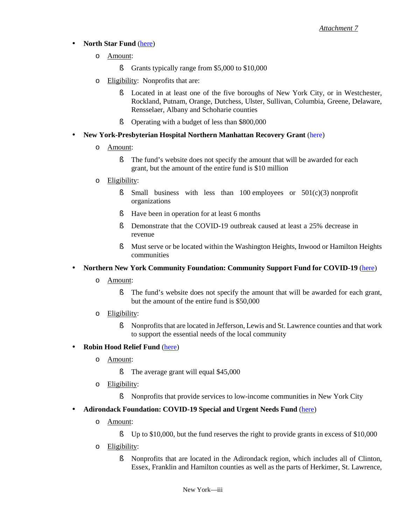### **North Star Fund** [\(here\)](https://northstarfund.org/apply/)

- o Amount:
	- **§** Grants typically range from \$5,000 to \$10,000
- o Eligibility: Nonprofits that are:
	- § Located in at least one of the five boroughs of New York City, or in Westchester, Rockland, Putnam, Orange, Dutchess, Ulster, Sullivan, Columbia, Greene, Delaware, Rensselaer, Albany and Schoharie counties
	- § Operating with a budget of less than \$800,000
- **New York-Presbyterian Hospital Northern Manhattan Recovery Grant** [\(here\)](https://hispanicfederation.org/nomafund/)
	- o Amount:

l,

ä,

- § The fund's website does not specify the amount that will be awarded for each grant, but the amount of the entire fund is \$10 million
- o Eligibility:
	- § Small business with less than 100 employees or 501(c)(3) nonprofit organizations
	- § Have been in operation for at least 6 months
	- § Demonstrate that the COVID-19 outbreak caused at least a 25% decrease in revenue
	- § Must serve or be located within the Washington Heights, Inwood or Hamilton Heights communities

### **Northern New York Community Foundation: Community Support Fund for COVID-19** [\(here\)](http://www.nnycf.org/recent-news/community-support-fund/)

- o Amount:
	- § The fund's website does not specify the amount that will be awarded for each grant, but the amount of the entire fund is \$50,000
- o Eligibility:
	- § Nonprofits that are located in Jefferson, Lewis and St. Lawrence counties and that work to support the essential needs of the local community

#### **Robin Hood Relief Fund** [\(here\)](https://www.robinhood.org/relief-fund-application/)

- o Amount:
	- **§** The average grant will equal \$45,000
- o Eligibility:
	- § Nonprofits that provide services to low-income communities in New York City

#### l, **Adirondack Foundation: COVID-19 Special and Urgent Needs Fund** [\(here\)](https://www.adirondackfoundation.org/press/special-and-urgent-needs-fund-activated-help-adirondack-communities-respond-covid-19)

- o Amount:
	- § Up to \$10,000, but the fund reserves the right to provide grants in excess of \$10,000
- o Eligibility:
	- § Nonprofits that are located in the Adirondack region, which includes all of Clinton, Essex, Franklin and Hamilton counties as well as the parts of Herkimer, St. Lawrence,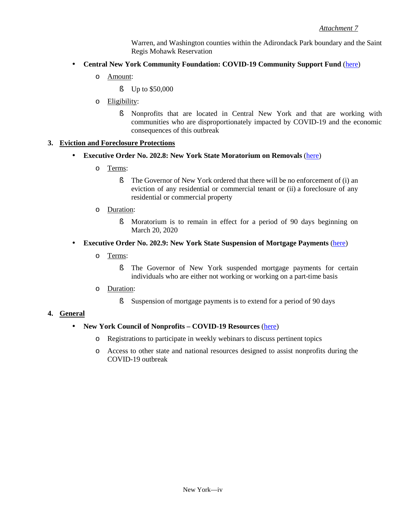Warren, and Washington counties within the Adirondack Park boundary and the Saint Regis Mohawk Reservation

- **Central New York Community Foundation: COVID-19 Community Support Fund** [\(here\)](https://cnycf.org/covid19#.XnKELahKg2w) ä,
	- o Amount:
		- § Up to \$50,000
	- o Eligibility:
		- § Nonprofits that are located in Central New York and that are working with communities who are disproportionately impacted by COVID-19 and the economic consequences of this outbreak

#### **3. Eviction and Foreclosure Protections**

- L. **Executive Order No. 202.8: New York State Moratorium on Removals** [\(here\)](https://www.governor.ny.gov/news/no-2028-continuing-temporary-suspension-and-modification-laws-relating-disaster-emergency)
	- o Terms:
		- § The Governor of New York ordered that there will be no enforcement of (i) an eviction of any residential or commercial tenant or (ii) a foreclosure of any residential or commercial property
	- o Duration:
		- § Moratorium is to remain in effect for a period of 90 days beginning on March 20, 2020
- **Executive Order No. 202.9: New York State Suspension of Mortgage Payments** [\(here\)](https://www.governor.ny.gov/news/no-2029-continuing-temporary-suspension-and-modification-laws-relating-disaster-emergency) ä,
	- o Terms:
		- § The Governor of New York suspended mortgage payments for certain individuals who are either not working or working on a part-time basis
	- o Duration:
		- § Suspension of mortgage payments is to extend for a period of 90 days

#### **4. General**

#### **New York Council of Nonprofits – COVID-19 Resources** [\(here\)](https://www.nycon.org/resources/covid-19-resources-for-nonprofits) l,

- o Registrations to participate in weekly webinars to discuss pertinent topics
- o Access to other state and national resources designed to assist nonprofits during the COVID-19 outbreak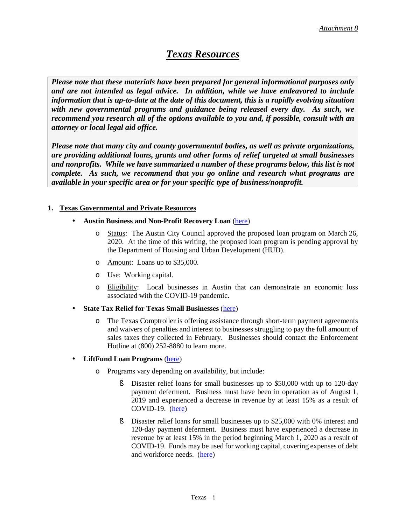### *Texas Resources*

*Please note that these materials have been prepared for general informational purposes only and are not intended as legal advice. In addition, while we have endeavored to include information that is up-to-date at the date of this document, this is a rapidly evolving situation with new governmental programs and guidance being released every day. As such, we recommend you research all of the options available to you and, if possible, consult with an attorney or local legal aid office.* 

*Please note that many city and county governmental bodies, as well as private organizations, are providing additional loans, grants and other forms of relief targeted at small businesses and nonprofits. While we have summarized a number of these programs below, this list is not complete. As such, we recommend that you go online and research what programs are available in your specific area or for your specific type of business/nonprofit.*

#### **1. Texas Governmental and Private Resources**

- **Austin Business and Non-Profit Recovery Loan** [\(here\)](http://www.austintexas.gov/department/austin-business-and-non-profit-recovery-loan)
	- o Status: The Austin City Council approved the proposed loan program on March 26, 2020. At the time of this writing, the proposed loan program is pending approval by the Department of Housing and Urban Development (HUD).
	- o Amount: Loans up to \$35,000.
	- o Use: Working capital.
	- o Eligibility: Local businesses in Austin that can demonstrate an economic loss associated with the COVID-19 pandemic.
- **State Tax Relief for Texas Small Businesses** [\(here\)](https://comptroller.texas.gov/about/emergency/)
	- o The Texas Comptroller is offering assistance through short-term payment agreements and waivers of penalties and interest to businesses struggling to pay the full amount of sales taxes they collected in February. Businesses should contact the Enforcement Hotline at (800) 252-8880 to learn more.

#### **LiftFund Loan Programs** [\(here\)](https://www.liftfund.com/covid-19-loan/)  $\blacksquare$

÷

- o Programs vary depending on availability, but include:
	- § Disaster relief loans for small businesses up to \$50,000 with up to 120-day payment deferment. Business must have been in operation as of August 1, 2019 and experienced a decrease in revenue by at least 15% as a result of COVID-19. [\(here\)](https://www.liftfund.com/liftfund-disaster-relief-2020-loan-program/)
	- § Disaster relief loans for small businesses up to \$25,000 with 0% interest and 120-day payment deferment. Business must have experienced a decrease in revenue by at least 15% in the period beginning March 1, 2020 as a result of COVID-19. Funds may be used for working capital, covering expenses of debt and workforce needs. [\(here\)](https://www.liftfund.com/bexar-county-disaster-relief-loan-program/)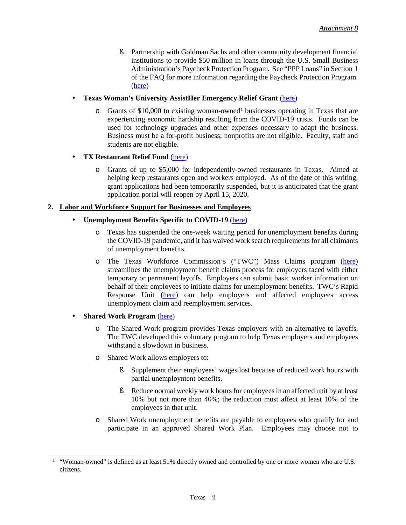ä,

l,

§ Partnership with Goldman Sachs and other community development financial institutions to provide \$50 million in loans through the U.S. Small Business Administration's Paycheck Protection Program. See "PPP Loans" in Section 1 of the FAQ for more information regarding the Paycheck Protection Program. [\(here\)](https://www.liftfund.com/sba-paycheck-protection-program-ppp-loan-resource-page/)

### **Texas Woman's University AssistHer Emergency Relief Grant** [\(here\)](https://twu.edu/center-women-entrepreneurs/assisther-emergency-relief-grant/)

 $\circ$  Grants of \$[1](#page-70-0)0,000 to existing woman-owned<sup>1</sup> businesses operating in Texas that are experiencing economic hardship resulting from the COVID-19 crisis. Funds can be used for technology upgrades and other expenses necessary to adapt the business. Business must be a for-profit business; nonprofits are not eligible. Faculty, staff and students are not eligible.

### **TX Restaurant Relief Fund** [\(here\)](https://mailchi.mp/txrestaurant.org/txrestaurantrelieffund)

o Grants of up to \$5,000 for independently-owned restaurants in Texas. Aimed at helping keep restaurants open and workers employed. As of the date of this writing, grant applications had been temporarily suspended, but it is anticipated that the grant application portal will reopen by April 15, 2020.

### **2. Labor and Workforce Support for Businesses and Employees**

### **Unemployment Benefits Specific to COVID-19** [\(here\)](https://www.twc.texas.gov/news/covid-19-resources-employers%23unemploymentBenefits)

- o Texas has suspended the one-week waiting period for unemployment benefits during the COVID-19 pandemic, and it has waived work search requirements for all claimants of unemployment benefits.
- o The Texas Workforce Commission's ("TWC") Mass Claims program [\(here\)](https://www.twc.texas.gov/businesses/mass-claims-unemployment-benefits) streamlines the unemployment benefit claims process for employers faced with either temporary or permanent layoffs. Employers can submit basic worker information on behalf of their employees to initiate claims for unemployment benefits. TWC's Rapid Response Unit [\(here\)](https://twc.texas.gov/businesses/rapid-response) can help employers and affected employees access unemployment claim and reemployment services.

#### **Shared Work Program** [\(here\)](https://www.twc.texas.gov/businesses/shared-work) ä,

- o The Shared Work program provides Texas employers with an alternative to layoffs. The TWC developed this voluntary program to help Texas employers and employees withstand a slowdown in business.
- o Shared Work allows employers to:
	- § Supplement their employees' wages lost because of reduced work hours with partial unemployment benefits.
	- § Reduce normal weekly work hours for employees in an affected unit by at least 10% but not more than 40%; the reduction must affect at least 10% of the employees in that unit.
- o Shared Work unemployment benefits are payable to employees who qualify for and participate in an approved Shared Work Plan. Employees may choose not to

<span id="page-70-0"></span><sup>&</sup>lt;sup>1</sup> "Woman-owned" is defined as at least 51% directly owned and controlled by one or more women who are U.S. citizens.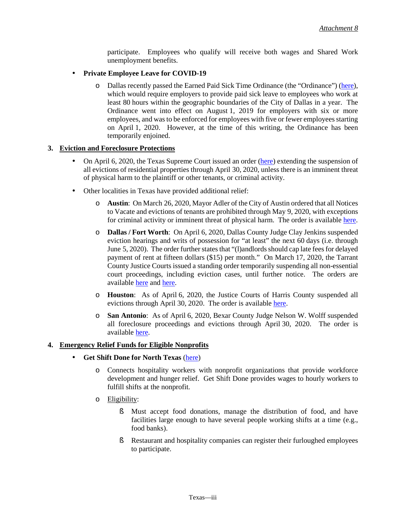l.

participate. Employees who qualify will receive both wages and Shared Work unemployment benefits.

### **Private Employee Leave for COVID-19**

o Dallas recently passed the Earned Paid Sick Time Ordinance (the "Ordinance") [\(here\)](https://dallascityhall.com/departments/fairhousing/paid-sick-leave/Pages/default.aspx), which would require employers to provide paid sick leave to employees who work at least 80 hours within the geographic boundaries of the City of Dallas in a year. The Ordinance went into effect on August 1, 2019 for employers with six or more employees, and was to be enforced for employees with five or fewer employees starting on April 1, 2020. However, at the time of this writing, the Ordinance has been temporarily enjoined.

#### **3. Eviction and Foreclosure Protections**

- On April 6, 2020, the Texas Supreme Court issued an order [\(here\)](https://www.txcourts.gov/media/1446345/209052.pdf) extending the suspension of all evictions of residential properties through April 30, 2020, unless there is an imminent threat of physical harm to the plaintiff or other tenants, or criminal activity.
- Other localities in Texas have provided additional relief: l,
	- o **Austin**: On March 26, 2020, Mayor Adler of the City of Austin ordered that all Notices to Vacate and evictions of tenants are prohibited through May 9, 2020, with exceptions for criminal activity or imminent threat of physical harm. The order is available [here.](http://www.austintexas.gov/edims/document.cfm?id=337860)
	- o **Dallas / Fort Worth**: On April 6, 2020, Dallas County Judge Clay Jenkins suspended eviction hearings and writs of possession for "at least" the next 60 days (i.e. through June 5, 2020). The order further statesthat "(l)andlords should cap late fees for delayed payment of rent at fifteen dollars (\$15) per month." On March 17, 2020, the Tarrant County Justice Courts issued a standing order temporarily suspending all non-essential court proceedings, including eviction cases, until further notice. The orders are available [here](https://www.dallascounty.org/Assets/uploads/docs/covid-19/orders-media/040620-AmendedOrder.pdf) and [here.](http://www.tarrantcounty.com/content/dam/main/justices-of-the-peace/JP3/Documents/Tarrant-County-Justice-Courts-Temporary-Standing-Order-1-%20Final.pdf?linklocation=About%20Us&linkname)
	- o **Houston**: As of April 6, 2020, the Justice Courts of Harris County suspended all evictions through April 30, 2020. The order is available [here.](http://www.jp.hctx.net/April%206%20standing%20order%20signed.pdf.)
	- o **San Antonio**: As of April 6, 2020, Bexar County Judge Nelson W. Wolff suspended all foreclosure proceedings and evictions through April 30, 2020. The order is available [here.](https://www.bexar.org/3234/COVID-19)

#### **4. Emergency Relief Funds for Eligible Nonprofits**

#### **Get Shift Done for North Texas** [\(here\)](https://www.getshiftdone.org/)

- o Connects hospitality workers with nonprofit organizations that provide workforce development and hunger relief. Get Shift Done provides wages to hourly workers to fulfill shifts at the nonprofit.
- o Eligibility:
	- § Must accept food donations, manage the distribution of food, and have facilities large enough to have several people working shifts at a time (e.g., food banks).
	- § Restaurant and hospitality companies can register their furloughed employees to participate.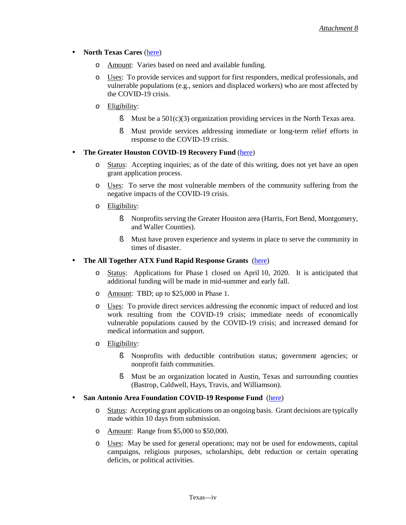#### l, **North Texas Cares** [\(here\)](https://northtexascares.org/)

- o Amount: Varies based on need and available funding.
- o Uses: To provide services and support for first responders, medical professionals, and vulnerable populations (e.g., seniors and displaced workers) who are most affected by the COVID-19 crisis.
- o Eligibility:
	- $\blacklozenge$  Must be a 501(c)(3) organization providing services in the North Texas area.
	- § Must provide services addressing immediate or long-term relief efforts in response to the COVID-19 crisis.

#### **The Greater Houston COVID-19 Recovery Fund** [\(here\)](https://www.greaterhoustonrecovery.org/)

- o Status: Accepting inquiries; as of the date of this writing, does not yet have an open grant application process.
- o Uses: To serve the most vulnerable members of the community suffering from the negative impacts of the COVID-19 crisis.
- o Eligibility:

ä,

- § Nonprofits serving the Greater Houston area (Harris, Fort Bend, Montgomery, and Waller Counties).
- § Must have proven experience and systems in place to serve the community in times of disaster.

#### **The All Together ATX Fund Rapid Response Grants** [\(here\)](https://www.alltogetheratx.org/)

- o Status: Applications for Phase 1 closed on April 10, 2020. It is anticipated that additional funding will be made in mid-summer and early fall.
- o Amount: TBD; up to \$25,000 in Phase 1.
- o Uses: To provide direct services addressing the economic impact of reduced and lost work resulting from the COVID-19 crisis; immediate needs of economically vulnerable populations caused by the COVID-19 crisis; and increased demand for medical information and support.
- o Eligibility:
	- § Nonprofits with deductible contribution status; government agencies; or nonprofit faith communities.
	- § Must be an organization located in Austin, Texas and surrounding counties (Bastrop, Caldwell, Hays, Travis, and Williamson).
- **San Antonio Area Foundation COVID-19 Response Fund** [\(here\)](http://www.saafdn.org/Nonprofits/Grants/COVID-19-Response-Fund)
	- o Status: Accepting grant applications on an ongoing basis. Grant decisions are typically made within 10 days from submission.
	- o Amount: Range from \$5,000 to \$50,000.
	- o Uses: May be used for general operations; may not be used for endowments, capital campaigns, religious purposes, scholarships, debt reduction or certain operating deficits, or political activities.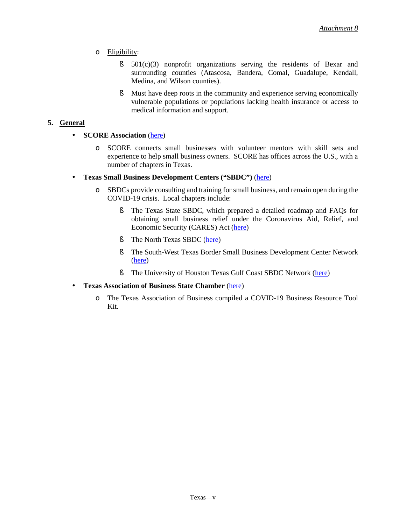- o Eligibility:
	- § 501(c)(3) nonprofit organizations serving the residents of Bexar and surrounding counties (Atascosa, Bandera, Comal, Guadalupe, Kendall, Medina, and Wilson counties).
	- § Must have deep roots in the community and experience serving economically vulnerable populations or populations lacking health insurance or access to medical information and support.

### **5. General**

l,

**SCORE Association** [\(here\)](https://www.score.org/coronavirus)

- o SCORE connects small businesses with volunteer mentors with skill sets and experience to help small business owners. SCORE has offices across the U.S., with a number of chapters in Texas.
- **Texas Small Business Development Centers ("SBDC")** [\(here\)](https://sbdctexas.org/)
	- o SBDCs provide consulting and training for small business, and remain open during the COVID-19 crisis. Local chapters include:
		- § The Texas State SBDC, which prepared a detailed roadmap and FAQs for obtaining small business relief under the Coronavirus Aid, Relief, and Economic Security (CARES) Act [\(here\)](https://sbdc.mccoy.txstate.edu/Disaster-Recovery/COVID19-.html)
		- § The North Texas SBDC [\(here\)](http://ntsbdc.org/)
		- § The South-West Texas Border Small Business Development Center Network [\(here\)](https://txsbdc.org/)
		- § The University of Houston Texas Gulf Coast SBDC Network [\(here\)](https://www.sbdc.uh.edu/sbdc/default.asp)
- **Texas Association of Business State Chamber** [\(here\)](https://www.txbiz.org/corona)  $\hat{\mathbf{r}}$ 
	- o The Texas Association of Business compiled a COVID-19 Business Resource Tool Kit.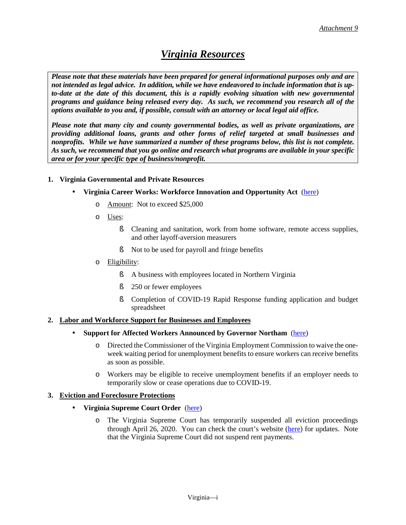### *Virginia Resources*

*Please note that these materials have been prepared for general informational purposes only and are not intended as legal advice. In addition, while we have endeavored to include information that is upto-date at the date of this document, this is a rapidly evolving situation with new governmental programs and guidance being released every day. As such, we recommend you research all of the options available to you and, if possible, consult with an attorney or local legal aid office.* 

*Please note that many city and county governmental bodies, as well as private organizations, are providing additional loans, grants and other forms of relief targeted at small businesses and nonprofits. While we have summarized a number of these programs below, this list is not complete. As such, we recommend that you go online and research what programs are available in your specific area or for your specific type of business/nonprofit.*

### **1. Virginia Governmental and Private Resources**

- **Virginia Career Works: Workforce Innovation and Opportunity Act** [\(here\)](https://vcwnorthern.com/covid19-rapid-response/)
	- o Amount: Not to exceed \$25,000
	- o Uses:
		- § Cleaning and sanitation, work from home software, remote access supplies, and other layoff-aversion measurers
		- § Not to be used for payroll and fringe benefits
	- o Eligibility:
		- § A business with employees located in Northern Virginia
		- **§** 250 or fewer employees
		- § Completion of COVID-19 Rapid Response funding application and budget spreadsheet

#### **2. Labor and Workforce Support for Businesses and Employees**

- **Support for Affected Workers Announced by Governor Northam** [\(here\)](https://www.governor.virginia.gov/newsroom/all-releases/2020/march/headline-854487-en.html)
	- o Directed the Commissioner of the Virginia Employment Commission to waive the oneweek waiting period for unemployment benefits to ensure workers can receive benefits as soon as possible.
	- o Workers may be eligible to receive unemployment benefits if an employer needs to temporarily slow or cease operations due to COVID-19.

#### **3. Eviction and Foreclosure Protections**

#### **Virginia Supreme Court Order** [\(here\)](http://www.vacourts.gov/news/items/2020_0327_scv_order_extending_declaration_of_judicial_emergency.pdf)

o The Virginia Supreme Court has temporarily suspended all eviction proceedings through April 26, 2020. You can check the court's website [\(here\)](http://www.courts.state.va.us/) for updates. Note that the Virginia Supreme Court did not suspend rent payments.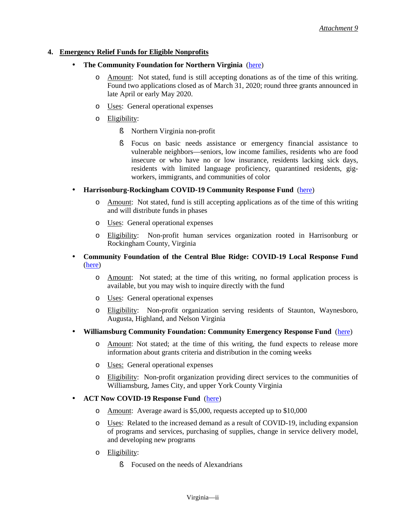### **4. Emergency Relief Funds for Eligible Nonprofits**

- **The Community Foundation for Northern Virginia** [\(here\)](https://www.cfnova.org/grants-and-scholarships/grants/covid-19-response-fund-for-northern-virginia)
	- o Amount: Not stated, fund is still accepting donations as of the time of this writing. Found two applications closed as of March 31, 2020; round three grants announced in late April or early May 2020.
	- o Uses: General operational expenses
	- o Eligibility:
		- § Northern Virginia non-profit
		- § Focus on basic needs assistance or emergency financial assistance to vulnerable neighbors—seniors, low income families, residents who are food insecure or who have no or low insurance, residents lacking sick days, residents with limited language proficiency, quarantined residents, gigworkers, immigrants, and communities of color
- **Harrisonburg-Rockingham COVID-19 Community Response Fund** [\(here\)](https://www.tcfhr.org/covid-19/) ä,
	- o Amount: Not stated, fund is still accepting applications as of the time of this writing and will distribute funds in phases
	- o Uses: General operational expenses
	- o Eligibility: Non-profit human services organization rooted in Harrisonburg or Rockingham County, Virginia
- **Community Foundation of the Central Blue Ridge: COVID-19 Local Response Fund** l, [\(here\)](https://cfcbr.org/news/covid-19-local-response-fund/)
	- o Amount: Not stated; at the time of this writing, no formal application process is available, but you may wish to inquire directly with the fund
	- o Uses: General operational expenses
	- o Eligibility: Non-profit organization serving residents of Staunton, Waynesboro, Augusta, Highland, and Nelson Virginia
- **Williamsburg Community Foundation: Community Emergency Response Fund** [\(here\)](https://williamsburgcommunityfoundation.org/emergency-response-fund/)
	- o Amount: Not stated; at the time of this writing, the fund expects to release more information about grants criteria and distribution in the coming weeks
	- o Uses: General operational expenses
	- o Eligibility: Non-profit organization providing direct services to the communities of Williamsburg, James City, and upper York County Virginia

#### **ACT Now COVID-19 Response Fund** [\(here\)](https://www.actforalexandria.org/)

- o Amount: Average award is \$5,000, requests accepted up to \$10,000
- o Uses: Related to the increased demand as a result of COVID-19, including expansion of programs and services, purchasing of supplies, change in service delivery model, and developing new programs
- o Eligibility:
	- **§** Focused on the needs of Alexandrians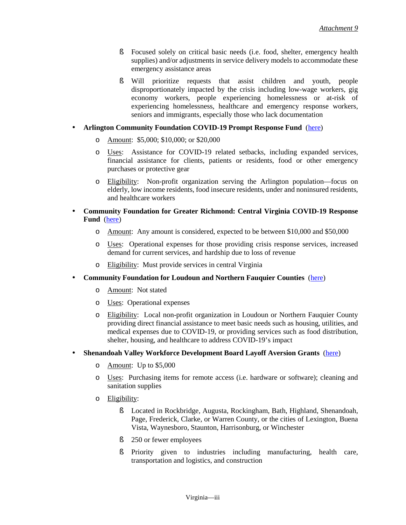ä,

- § Focused solely on critical basic needs (i.e. food, shelter, emergency health supplies) and/or adjustments in service delivery models to accommodate these emergency assistance areas
- § Will prioritize requests that assist children and youth, people disproportionately impacted by the crisis including low-wage workers, gig economy workers, people experiencing homelessness or at-risk of experiencing homelessness, healthcare and emergency response workers, seniors and immigrants, especially those who lack documentation

### **Arlington Community Foundation COVID-19 Prompt Response Fund** [\(here\)](https://www.arlcf.org/grants-initiatives/covid-19/)

- o Amount: \$5,000; \$10,000; or \$20,000
- o Uses: Assistance for COVID-19 related setbacks, including expanded services, financial assistance for clients, patients or residents, food or other emergency purchases or protective gear
- o Eligibility: Non-profit organization serving the Arlington population—focus on elderly, low income residents, food insecure residents, under and noninsured residents, and healthcare workers

#### **Community Foundation for Greater Richmond: Central Virginia COVID-19 Response** l, **Fund** [\(here\)](https://www.cfrichmond.org/Leadership-Impact/Central-Virginia-COVID-19-Response)

- o Amount: Any amount is considered, expected to be between \$10,000 and \$50,000
- o Uses: Operational expenses for those providing crisis response services, increased demand for current services, and hardship due to loss of revenue
- o Eligibility: Must provide services in central Virginia
- **Community Foundation for Loudoun and Northern Fauquier Counties** [\(here\)](https://communityfoundationlf.org/product/emergencyrelief/) ł,
	- o Amount: Not stated
	- o Uses: Operational expenses
	- o Eligibility: Local non-profit organization in Loudoun or Northern Fauquier County providing direct financial assistance to meet basic needs such as housing, utilities, and medical expenses due to COVID-19, or providing services such as food distribution, shelter, housing, and healthcare to address COVID-19's impact

#### **Shenandoah Valley Workforce Development Board Layoff Aversion Grants** [\(here\)](https://communityfoundationlf.org/product/emergencyrelief/) l,

- o Amount: Up to \$5,000
- o Uses: Purchasing items for remote access (i.e. hardware or software); cleaning and sanitation supplies
- o Eligibility:
	- § Located in Rockbridge, Augusta, Rockingham, Bath, Highland, Shenandoah, Page, Frederick, Clarke, or Warren County, or the cities of Lexington, Buena Vista, Waynesboro, Staunton, Harrisonburg, or Winchester
	- **§** 250 or fewer employees
	- § Priority given to industries including manufacturing, health care, transportation and logistics, and construction